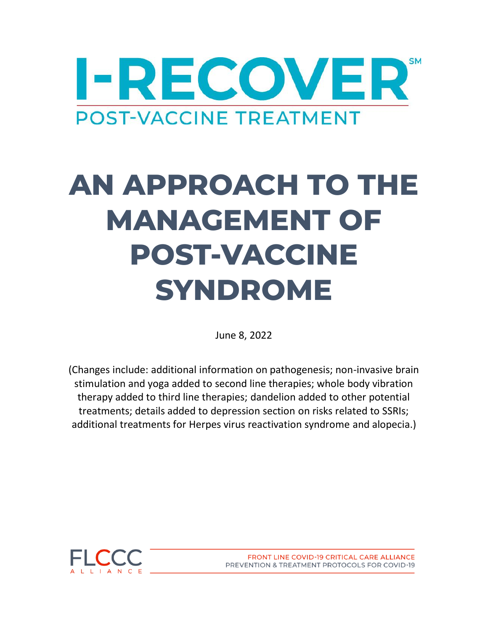

# **AN APPROACH TO THE MANAGEMENT OF POST-VACCINE SYNDROME**

June 8, 2022

(Changes include: additional information on pathogenesis; non-invasive brain stimulation and yoga added to second line therapies; whole body vibration therapy added to third line therapies; dandelion added to other potential treatments; details added to depression section on risks related to SSRIs; additional treatments for Herpes virus reactivation syndrome and alopecia.)



FRONT LINE COVID-19 CRITICAL CARE ALLIANCE PREVENTION & TREATMENT PROTOCOLS FOR COVID-19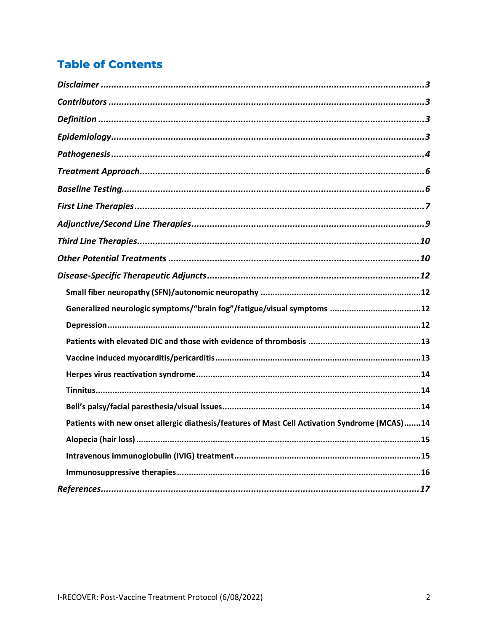### **Table of Contents**

| Generalized neurologic symptoms/"brain fog"/fatigue/visual symptoms 12                        |  |
|-----------------------------------------------------------------------------------------------|--|
|                                                                                               |  |
|                                                                                               |  |
|                                                                                               |  |
|                                                                                               |  |
|                                                                                               |  |
|                                                                                               |  |
| Patients with new onset allergic diathesis/features of Mast Cell Activation Syndrome (MCAS)14 |  |
|                                                                                               |  |
|                                                                                               |  |
|                                                                                               |  |
|                                                                                               |  |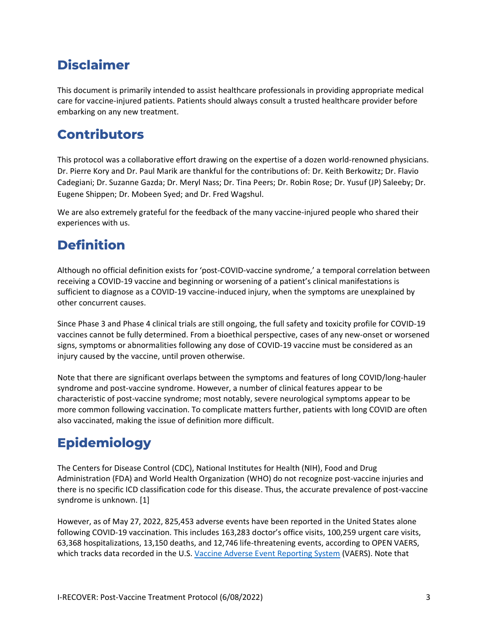### <span id="page-2-0"></span>**Disclaimer**

This document is primarily intended to assist healthcare professionals in providing appropriate medical care for vaccine-injured patients. Patients should always consult a trusted healthcare provider before embarking on any new treatment.

# <span id="page-2-1"></span>**Contributors**

This protocol was a collaborative effort drawing on the expertise of a dozen world-renowned physicians. Dr. Pierre Kory and Dr. Paul Marik are thankful for the contributions of: Dr. Keith Berkowitz; Dr. Flavio Cadegiani; Dr. Suzanne Gazda; Dr. Meryl Nass; Dr. Tina Peers; Dr. Robin Rose; Dr. Yusuf (JP) Saleeby; Dr. Eugene Shippen; Dr. Mobeen Syed; and Dr. Fred Wagshul.

We are also extremely grateful for the feedback of the many vaccine-injured people who shared their experiences with us.

# <span id="page-2-2"></span>**Definition**

Although no official definition exists for 'post-COVID-vaccine syndrome,' a temporal correlation between receiving a COVID-19 vaccine and beginning or worsening of a patient's clinical manifestations is sufficient to diagnose as a COVID-19 vaccine-induced injury, when the symptoms are unexplained by other concurrent causes.

Since Phase 3 and Phase 4 clinical trials are still ongoing, the full safety and toxicity profile for COVID-19 vaccines cannot be fully determined. From a bioethical perspective, cases of any new-onset or worsened signs, symptoms or abnormalities following any dose of COVID-19 vaccine must be considered as an injury caused by the vaccine, until proven otherwise.

Note that there are significant overlaps between the symptoms and features of long COVID/long-hauler syndrome and post-vaccine syndrome. However, a number of clinical features appear to be characteristic of post-vaccine syndrome; most notably, severe neurological symptoms appear to be more common following vaccination. To complicate matters further, patients with long COVID are often also vaccinated, making the issue of definition more difficult.

# <span id="page-2-3"></span>**Epidemiology**

The Centers for Disease Control (CDC), National Institutes for Health (NIH), Food and Drug Administration (FDA) and World Health Organization (WHO) do not recognize post-vaccine injuries and there is no specific ICD classification code for this disease. Thus, the accurate prevalence of post-vaccine syndrome is unknown. [1]

However, as of May 27, 2022, 825,453 adverse events have been reported in the United States alone following COVID-19 vaccination. This includes 163,283 doctor's office visits, 100,259 urgent care visits, 63,368 hospitalizations, 13,150 deaths, and 12,746 life-threatening events, according to OPEN VAERS, which tracks data recorded in the U.S. [Vaccine Adverse Event Reporting System](https://vaers.hhs.gov/) (VAERS). Note that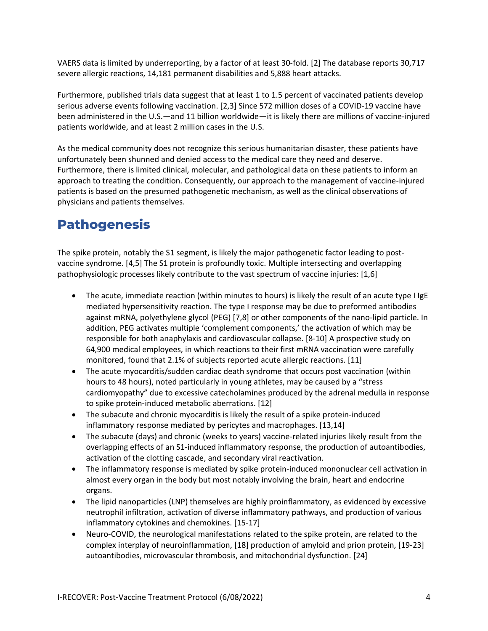VAERS data is limited by underreporting, by a factor of at least 30-fold. [2] The database reports 30,717 severe allergic reactions, 14,181 permanent disabilities and 5,888 heart attacks.

Furthermore, published trials data suggest that at least 1 to 1.5 percent of vaccinated patients develop serious adverse events following vaccination. [2,3] Since 572 million doses of a COVID-19 vaccine have been administered in the U.S.—and 11 billion worldwide—it is likely there are millions of vaccine-injured patients worldwide, and at least 2 million cases in the U.S.

As the medical community does not recognize this serious humanitarian disaster, these patients have unfortunately been shunned and denied access to the medical care they need and deserve. Furthermore, there is limited clinical, molecular, and pathological data on these patients to inform an approach to treating the condition. Consequently, our approach to the management of vaccine-injured patients is based on the presumed pathogenetic mechanism, as well as the clinical observations of physicians and patients themselves.

### <span id="page-3-0"></span>**Pathogenesis**

The spike protein, notably the S1 segment, is likely the major pathogenetic factor leading to postvaccine syndrome. [4,5] The S1 protein is profoundly toxic. Multiple intersecting and overlapping pathophysiologic processes likely contribute to the vast spectrum of vaccine injuries: [1,6]

- The acute, immediate reaction (within minutes to hours) is likely the result of an acute type I IgE mediated hypersensitivity reaction. The type I response may be due to preformed antibodies against mRNA, polyethylene glycol (PEG) [7,8] or other components of the nano-lipid particle. In addition, PEG activates multiple 'complement components,' the activation of which may be responsible for both anaphylaxis and cardiovascular collapse. [8-10] A prospective study on 64,900 medical employees, in which reactions to their first mRNA vaccination were carefully monitored, found that 2.1% of subjects reported acute allergic reactions. [11]
- The acute myocarditis/sudden cardiac death syndrome that occurs post vaccination (within hours to 48 hours), noted particularly in young athletes, may be caused by a "stress cardiomyopathy" due to excessive catecholamines produced by the adrenal medulla in response to spike protein-induced metabolic aberrations. [12]
- The subacute and chronic myocarditis is likely the result of a spike protein-induced inflammatory response mediated by pericytes and macrophages. [13,14]
- The subacute (days) and chronic (weeks to years) vaccine-related injuries likely result from the overlapping effects of an S1-induced inflammatory response, the production of autoantibodies, activation of the clotting cascade, and secondary viral reactivation.
- The inflammatory response is mediated by spike protein-induced mononuclear cell activation in almost every organ in the body but most notably involving the brain, heart and endocrine organs.
- The lipid nanoparticles (LNP) themselves are highly proinflammatory, as evidenced by excessive neutrophil infiltration, activation of diverse inflammatory pathways, and production of various inflammatory cytokines and chemokines. [15-17]
- Neuro-COVID, the neurological manifestations related to the spike protein, are related to the complex interplay of neuroinflammation, [18] production of amyloid and prion protein, [19-23] autoantibodies, microvascular thrombosis, and mitochondrial dysfunction. [24]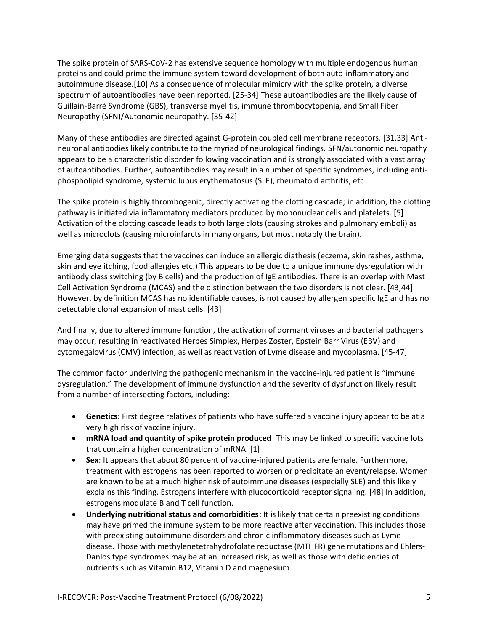The spike protein of SARS-CoV-2 has extensive sequence homology with multiple endogenous human proteins and could prime the immune system toward development of both auto-inflammatory and autoimmune disease.[10] As a consequence of molecular mimicry with the spike protein, a diverse spectrum of autoantibodies have been reported. [25-34] These autoantibodies are the likely cause of Guillain-Barré Syndrome (GBS), transverse myelitis, immune thrombocytopenia, and Small Fiber Neuropathy (SFN)/Autonomic neuropathy. [35-42]

Many of these antibodies are directed against G-protein coupled cell membrane receptors. [31,33] Antineuronal antibodies likely contribute to the myriad of neurological findings. SFN/autonomic neuropathy appears to be a characteristic disorder following vaccination and is strongly associated with a vast array of autoantibodies. Further, autoantibodies may result in a number of specific syndromes, including antiphospholipid syndrome, systemic lupus erythematosus (SLE), rheumatoid arthritis, etc.

The spike protein is highly thrombogenic, directly activating the clotting cascade; in addition, the clotting pathway is initiated via inflammatory mediators produced by mononuclear cells and platelets. [5] Activation of the clotting cascade leads to both large clots (causing strokes and pulmonary emboli) as well as microclots (causing microinfarcts in many organs, but most notably the brain).

Emerging data suggests that the vaccines can induce an allergic diathesis (eczema, skin rashes, asthma, skin and eye itching, food allergies etc.) This appears to be due to a unique immune dysregulation with antibody class switching (by B cells) and the production of IgE antibodies. There is an overlap with Mast Cell Activation Syndrome (MCAS) and the distinction between the two disorders is not clear. [43,44] However, by definition MCAS has no identifiable causes, is not caused by allergen specific IgE and has no detectable clonal expansion of mast cells. [43]

And finally, due to altered immune function, the activation of dormant viruses and bacterial pathogens may occur, resulting in reactivated Herpes Simplex, Herpes Zoster, Epstein Barr Virus (EBV) and cytomegalovirus (CMV) infection, as well as reactivation of Lyme disease and mycoplasma. [45-47]

The common factor underlying the pathogenic mechanism in the vaccine-injured patient is "immune dysregulation." The development of immune dysfunction and the severity of dysfunction likely result from a number of intersecting factors, including:

- **Genetics**: First degree relatives of patients who have suffered a vaccine injury appear to be at a very high risk of vaccine injury.
- **mRNA load and quantity of spike protein produced**: This may be linked to specific vaccine lots that contain a higher concentration of mRNA. [1]
- **Sex**: It appears that about 80 percent of vaccine-injured patients are female. Furthermore, treatment with estrogens has been reported to worsen or precipitate an event/relapse. Women are known to be at a much higher risk of autoimmune diseases (especially SLE) and this likely explains this finding. Estrogens interfere with glucocorticoid receptor signaling. [48] In addition, estrogens modulate B and T cell function.
- **Underlying nutritional status and comorbidities**: It is likely that certain preexisting conditions may have primed the immune system to be more reactive after vaccination. This includes those with preexisting autoimmune disorders and chronic inflammatory diseases such as Lyme disease. Those with methylenetetrahydrofolate reductase (MTHFR) gene mutations and Ehlers-Danlos type syndromes may be at an increased risk, as well as those with deficiencies of nutrients such as Vitamin B12, Vitamin D and magnesium.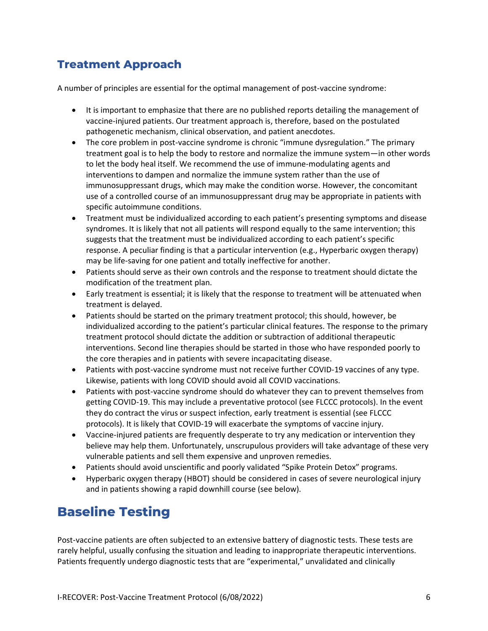### <span id="page-5-0"></span>**Treatment Approach**

A number of principles are essential for the optimal management of post-vaccine syndrome:

- It is important to emphasize that there are no published reports detailing the management of vaccine-injured patients. Our treatment approach is, therefore, based on the postulated pathogenetic mechanism, clinical observation, and patient anecdotes.
- The core problem in post-vaccine syndrome is chronic "immune dysregulation." The primary treatment goal is to help the body to restore and normalize the immune system—in other words to let the body heal itself. We recommend the use of immune-modulating agents and interventions to dampen and normalize the immune system rather than the use of immunosuppressant drugs, which may make the condition worse. However, the concomitant use of a controlled course of an immunosuppressant drug may be appropriate in patients with specific autoimmune conditions.
- Treatment must be individualized according to each patient's presenting symptoms and disease syndromes. It is likely that not all patients will respond equally to the same intervention; this suggests that the treatment must be individualized according to each patient's specific response. A peculiar finding is that a particular intervention (e.g., Hyperbaric oxygen therapy) may be life-saving for one patient and totally ineffective for another.
- Patients should serve as their own controls and the response to treatment should dictate the modification of the treatment plan.
- Early treatment is essential; it is likely that the response to treatment will be attenuated when treatment is delayed.
- Patients should be started on the primary treatment protocol; this should, however, be individualized according to the patient's particular clinical features. The response to the primary treatment protocol should dictate the addition or subtraction of additional therapeutic interventions. Second line therapies should be started in those who have responded poorly to the core therapies and in patients with severe incapacitating disease.
- Patients with post-vaccine syndrome must not receive further COVID-19 vaccines of any type. Likewise, patients with long COVID should avoid all COVID vaccinations.
- Patients with post-vaccine syndrome should do whatever they can to prevent themselves from getting COVID-19. This may include a preventative protocol (see FLCCC protocols). In the event they do contract the virus or suspect infection, early treatment is essential (see FLCCC protocols). It is likely that COVID-19 will exacerbate the symptoms of vaccine injury.
- Vaccine-injured patients are frequently desperate to try any medication or intervention they believe may help them. Unfortunately, unscrupulous providers will take advantage of these very vulnerable patients and sell them expensive and unproven remedies.
- Patients should avoid unscientific and poorly validated "Spike Protein Detox" programs.
- Hyperbaric oxygen therapy (HBOT) should be considered in cases of severe neurological injury and in patients showing a rapid downhill course (see below).

### <span id="page-5-1"></span>**Baseline Testing**

Post-vaccine patients are often subjected to an extensive battery of diagnostic tests. These tests are rarely helpful, usually confusing the situation and leading to inappropriate therapeutic interventions. Patients frequently undergo diagnostic tests that are "experimental," unvalidated and clinically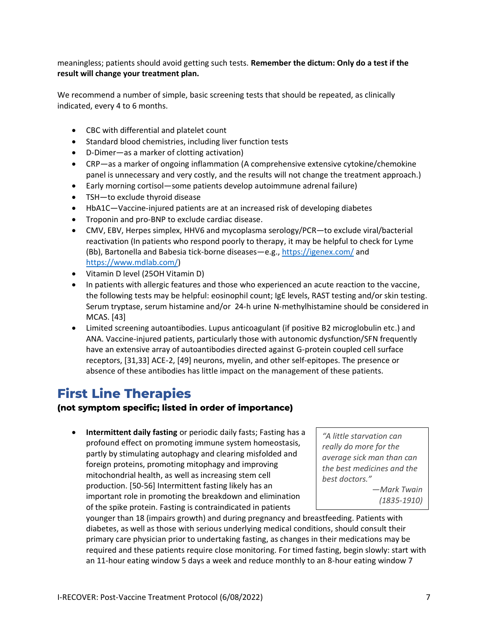meaningless; patients should avoid getting such tests. **Remember the dictum: Only do a test if the result will change your treatment plan.** 

We recommend a number of simple, basic screening tests that should be repeated, as clinically indicated, every 4 to 6 months.

- CBC with differential and platelet count
- Standard blood chemistries, including liver function tests
- D-Dimer—as a marker of clotting activation)
- CRP—as a marker of ongoing inflammation (A comprehensive extensive cytokine/chemokine panel is unnecessary and very costly, and the results will not change the treatment approach.)
- Early morning cortisol—some patients develop autoimmune adrenal failure)
- TSH—to exclude thyroid disease
- HbA1C—Vaccine-injured patients are at an increased risk of developing diabetes
- Troponin and pro-BNP to exclude cardiac disease.
- CMV, EBV, Herpes simplex, HHV6 and mycoplasma serology/PCR—to exclude viral/bacterial reactivation (In patients who respond poorly to therapy, it may be helpful to check for Lyme (Bb), Bartonella and Babesia tick-borne diseases—e.g.,<https://igenex.com/> and [https://www.mdlab.com/\)](https://www.mdlab.com/)
- Vitamin D level (25OH Vitamin D)
- In patients with allergic features and those who experienced an acute reaction to the vaccine, the following tests may be helpful: eosinophil count; IgE levels, RAST testing and/or skin testing. Serum tryptase, serum histamine and/or 24-h urine N-methylhistamine should be considered in MCAS. [43]
- Limited screening autoantibodies. Lupus anticoagulant (if positive B2 microglobulin etc.) and ANA. Vaccine-injured patients, particularly those with autonomic dysfunction/SFN frequently have an extensive array of autoantibodies directed against G-protein coupled cell surface receptors, [31,33] ACE-2, [49] neurons, myelin, and other self-epitopes. The presence or absence of these antibodies has little impact on the management of these patients.

### <span id="page-6-0"></span>**First Line Therapies**

#### **(not symptom specific; listed in order of importance)**

• **Intermittent daily fasting** or periodic daily fasts; Fasting has a profound effect on promoting immune system homeostasis, partly by stimulating autophagy and clearing misfolded and foreign proteins, promoting mitophagy and improving mitochondrial health, as well as increasing stem cell production. [50-56] Intermittent fasting likely has an important role in promoting the breakdown and elimination of the spike protein. Fasting is contraindicated in patients

*"A little starvation can really do more for the average sick man than can the best medicines and the best doctors." —Mark Twain* 

*(1835-1910)* 

younger than 18 (impairs growth) and during pregnancy and breastfeeding. Patients with diabetes, as well as those with serious underlying medical conditions, should consult their primary care physician prior to undertaking fasting, as changes in their medications may be required and these patients require close monitoring. For timed fasting, begin slowly: start with an 11-hour eating window 5 days a week and reduce monthly to an 8-hour eating window 7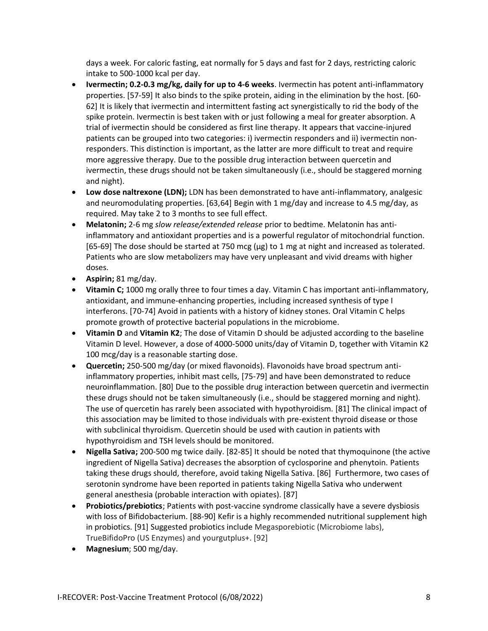days a week. For caloric fasting, eat normally for 5 days and fast for 2 days, restricting caloric intake to 500-1000 kcal per day.

- **Ivermectin; 0.2-0.3 mg/kg, daily for up to 4-6 weeks**. Ivermectin has potent anti-inflammatory properties. [57-59] It also binds to the spike protein, aiding in the elimination by the host. [60- 62] It is likely that ivermectin and intermittent fasting act synergistically to rid the body of the spike protein. Ivermectin is best taken with or just following a meal for greater absorption. A trial of ivermectin should be considered as first line therapy. It appears that vaccine-injured patients can be grouped into two categories: i) ivermectin responders and ii) ivermectin nonresponders. This distinction is important, as the latter are more difficult to treat and require more aggressive therapy. Due to the possible drug interaction between quercetin and ivermectin, these drugs should not be taken simultaneously (i.e., should be staggered morning and night).
- **Low dose naltrexone (LDN);** LDN has been demonstrated to have anti-inflammatory, analgesic and neuromodulating properties. [63,64] Begin with 1 mg/day and increase to 4.5 mg/day, as required. May take 2 to 3 months to see full effect.
- **Melatonin;** 2-6 mg *slow release/extended release* prior to bedtime. Melatonin has antiinflammatory and antioxidant properties and is a powerful regulator of mitochondrial function. [65-69] The dose should be started at 750 mcg ( $\mu$ g) to 1 mg at night and increased as tolerated. Patients who are slow metabolizers may have very unpleasant and vivid dreams with higher doses.
- **Aspirin;** 81 mg/day.
- **Vitamin C;** 1000 mg orally three to four times a day. Vitamin C has important anti-inflammatory, antioxidant, and immune-enhancing properties, including increased synthesis of type I interferons. [70-74] Avoid in patients with a history of kidney stones. Oral Vitamin C helps promote growth of protective bacterial populations in the microbiome.
- **Vitamin D** and **Vitamin K2**; The dose of Vitamin D should be adjusted according to the baseline Vitamin D level. However, a dose of 4000-5000 units/day of Vitamin D, together with Vitamin K2 100 mcg/day is a reasonable starting dose.
- **Quercetin;** 250-500 mg/day (or mixed flavonoids). Flavonoids have broad spectrum antiinflammatory properties, inhibit mast cells, [75-79] and have been demonstrated to reduce neuroinflammation. [80] Due to the possible drug interaction between quercetin and ivermectin these drugs should not be taken simultaneously (i.e., should be staggered morning and night). The use of quercetin has rarely been associated with hypothyroidism. [81] The clinical impact of this association may be limited to those individuals with pre-existent thyroid disease or those with subclinical thyroidism. Quercetin should be used with caution in patients with hypothyroidism and TSH levels should be monitored.
- **Nigella Sativa;** 200-500 mg twice daily. [82-85] It should be noted that thymoquinone (the active ingredient of Nigella Sativa) decreases the absorption of cyclosporine and phenytoin. Patients taking these drugs should, therefore, avoid taking Nigella Sativa. [86] Furthermore, two cases of serotonin syndrome have been reported in patients taking Nigella Sativa who underwent general anesthesia (probable interaction with opiates). [87]
- **Probiotics/prebiotics**; Patients with post-vaccine syndrome classically have a severe dysbiosis with loss of Bifidobacterium. [88-90] Kefir is a highly recommended nutritional supplement high in probiotics. [91] Suggested probiotics include Megasporebiotic (Microbiome labs), TrueBifidoPro (US Enzymes) and yourgutplus+. [92]
- **Magnesium**; 500 mg/day.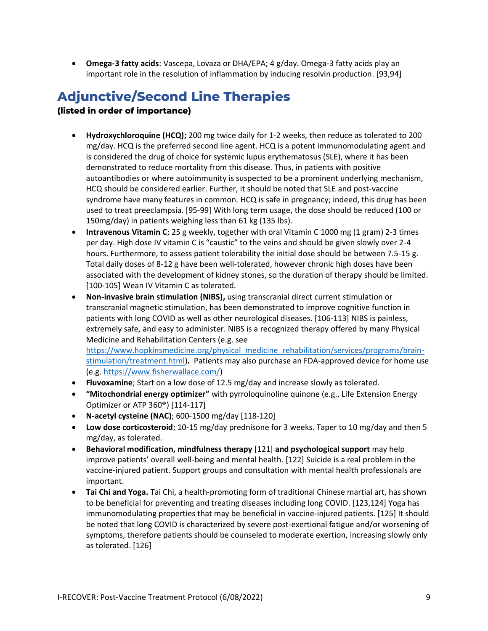• **Omega-3 fatty acids**: Vascepa, Lovaza or DHA/EPA; 4 g/day. Omega-3 fatty acids play an important role in the resolution of inflammation by inducing resolvin production. [93,94]

# <span id="page-8-0"></span>**Adjunctive/Second Line Therapies**

#### **(listed in order of importance)**

- **Hydroxychloroquine (HCQ);** 200 mg twice daily for 1-2 weeks, then reduce as tolerated to 200 mg/day. HCQ is the preferred second line agent. HCQ is a potent immunomodulating agent and is considered the drug of choice for systemic lupus erythematosus (SLE), where it has been demonstrated to reduce mortality from this disease. Thus, in patients with positive autoantibodies or where autoimmunity is suspected to be a prominent underlying mechanism, HCQ should be considered earlier. Further, it should be noted that SLE and post-vaccine syndrome have many features in common. HCQ is safe in pregnancy; indeed, this drug has been used to treat preeclampsia. [95-99] With long term usage, the dose should be reduced (100 or 150mg/day) in patients weighing less than 61 kg (135 lbs).
- **Intravenous Vitamin C**; 25 g weekly, together with oral Vitamin C 1000 mg (1 gram) 2-3 times per day. High dose IV vitamin C is "caustic" to the veins and should be given slowly over 2-4 hours. Furthermore, to assess patient tolerability the initial dose should be between 7.5-15 g. Total daily doses of 8-12 g have been well-tolerated, however chronic high doses have been associated with the development of kidney stones, so the duration of therapy should be limited. [100-105] Wean IV Vitamin C as tolerated.
- **Non-invasive brain stimulation (NIBS),** using transcranial direct current stimulation or transcranial magnetic stimulation, has been demonstrated to improve cognitive function in patients with long COVID as well as other neurological diseases. [106-113] NIBS is painless, extremely safe, and easy to administer. NIBS is a recognized therapy offered by many Physical Medicine and Rehabilitation Centers (e.g. see [https://www.hopkinsmedicine.org/physical\\_medicine\\_rehabilitation/services/programs/brain](https://www.hopkinsmedicine.org/physical_medicine_rehabilitation/services/programs/brain-stimulation/treatment.html)[stimulation/treatment.html\)](https://www.hopkinsmedicine.org/physical_medicine_rehabilitation/services/programs/brain-stimulation/treatment.html)**.** Patients may also purchase an FDA-approved device for home use

(e.g. [https://www.fisherwallace.com/\)](https://www.fisherwallace.com/)

- **Fluvoxamine**; Start on a low dose of 12.5 mg/day and increase slowly as tolerated.
- **"Mitochondrial energy optimizer"** with pyrroloquinoline quinone (e.g., Life Extension Energy Optimizer or ATP 360®) [114-117]
- **N-acetyl cysteine (NAC)**; 600-1500 mg/day [118-120]
- **Low dose corticosteroid**; 10-15 mg/day prednisone for 3 weeks. Taper to 10 mg/day and then 5 mg/day, as tolerated.
- **Behavioral modification, mindfulness therapy** [121] **and psychological support** may help improve patients' overall well-being and mental health. [122] Suicide is a real problem in the vaccine-injured patient. Support groups and consultation with mental health professionals are important.
- **Tai Chi and Yoga.** Tai Chi, a health-promoting form of traditional Chinese martial art, has shown to be beneficial for preventing and treating diseases including long COVID. [123,124] Yoga has immunomodulating properties that may be beneficial in vaccine-injured patients. [125] It should be noted that long COVID is characterized by severe post-exertional fatigue and/or worsening of symptoms, therefore patients should be counseled to moderate exertion, increasing slowly only as tolerated. [126]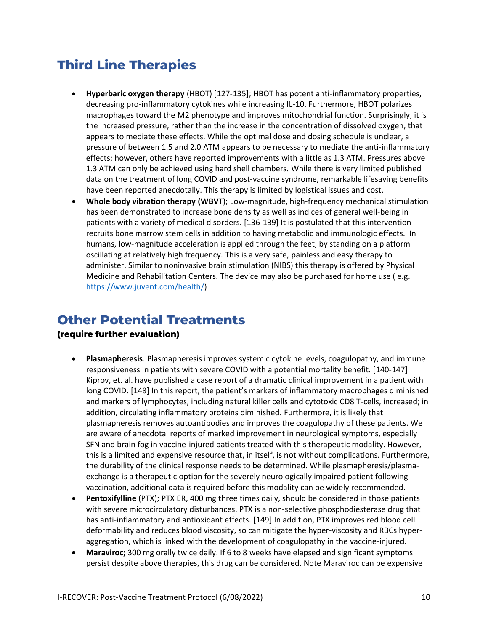# <span id="page-9-0"></span>**Third Line Therapies**

- **Hyperbaric oxygen therapy** (HBOT) [127-135]; HBOT has potent anti-inflammatory properties, decreasing pro-inflammatory cytokines while increasing IL-10. Furthermore, HBOT polarizes macrophages toward the M2 phenotype and improves mitochondrial function. Surprisingly, it is the increased pressure, rather than the increase in the concentration of dissolved oxygen, that appears to mediate these effects. While the optimal dose and dosing schedule is unclear, a pressure of between 1.5 and 2.0 ATM appears to be necessary to mediate the anti-inflammatory effects; however, others have reported improvements with a little as 1.3 ATM. Pressures above 1.3 ATM can only be achieved using hard shell chambers. While there is very limited published data on the treatment of long COVID and post-vaccine syndrome, remarkable lifesaving benefits have been reported anecdotally. This therapy is limited by logistical issues and cost.
- **Whole body vibration therapy (WBVT**); Low-magnitude, high-frequency mechanical stimulation has been demonstrated to increase bone density as well as indices of general well-being in patients with a variety of medical disorders. [136-139] It is postulated that this intervention recruits bone marrow stem cells in addition to having metabolic and immunologic effects. In humans, low-magnitude acceleration is applied through the feet, by standing on a platform oscillating at relatively high frequency. This is a very safe, painless and easy therapy to administer. Similar to noninvasive brain stimulation (NIBS) this therapy is offered by Physical Medicine and Rehabilitation Centers. The device may also be purchased for home use ( e.g. [https://www.juvent.com/health/\)](https://www.juvent.com/health/)

### <span id="page-9-1"></span>**Other Potential Treatments**

#### **(require further evaluation)**

- **Plasmapheresis**. Plasmapheresis improves systemic cytokine levels, coagulopathy, and immune responsiveness in patients with severe COVID with a potential mortality benefit. [140-147] Kiprov, et. al. have published a case report of a dramatic clinical improvement in a patient with long COVID. [148] In this report, the patient's markers of inflammatory macrophages diminished and markers of lymphocytes, including natural killer cells and cytotoxic CD8 T-cells, increased; in addition, circulating inflammatory proteins diminished. Furthermore, it is likely that plasmapheresis removes autoantibodies and improves the coagulopathy of these patients. We are aware of anecdotal reports of marked improvement in neurological symptoms, especially SFN and brain fog in vaccine-injured patients treated with this therapeutic modality. However, this is a limited and expensive resource that, in itself, is not without complications. Furthermore, the durability of the clinical response needs to be determined. While plasmapheresis/plasmaexchange is a therapeutic option for the severely neurologically impaired patient following vaccination, additional data is required before this modality can be widely recommended.
- **Pentoxifylline** (PTX); PTX ER, 400 mg three times daily, should be considered in those patients with severe microcirculatory disturbances. PTX is a non-selective phosphodiesterase drug that has anti-inflammatory and antioxidant effects. [149] In addition, PTX improves red blood cell deformability and reduces blood viscosity, so can mitigate the hyper-viscosity and RBCs hyperaggregation, which is linked with the development of coagulopathy in the vaccine-injured.
- **Maraviroc;** 300 mg orally twice daily. If 6 to 8 weeks have elapsed and significant symptoms persist despite above therapies, this drug can be considered. Note Maraviroc can be expensive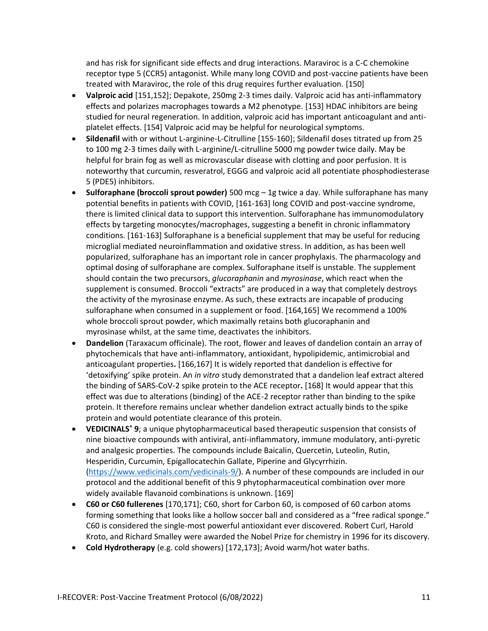and has risk for significant side effects and drug interactions. Maraviroc is a C-C chemokine receptor type 5 (CCR5) antagonist. While many long COVID and post-vaccine patients have been treated with Maraviroc, the role of this drug requires further evaluation. [150]

- **Valproic acid** [151,152]; Depakote, 250mg 2-3 times daily. Valproic acid has anti-inflammatory effects and polarizes macrophages towards a M2 phenotype. [153] HDAC inhibitors are being studied for neural regeneration. In addition, valproic acid has important anticoagulant and antiplatelet effects. [154] Valproic acid may be helpful for neurological symptoms.
- **Sildenafil** with or without L-arginine-L-Citrulline [155-160]; Sildenafil doses titrated up from 25 to 100 mg 2-3 times daily with L-arginine/L-citrulline 5000 mg powder twice daily. May be helpful for brain fog as well as microvascular disease with clotting and poor perfusion. It is noteworthy that curcumin, resveratrol, EGGG and valproic acid all potentiate phosphodiesterase 5 (PDE5) inhibitors.
- **Sulforaphane (broccoli sprout powder)** 500 mcg 1g twice a day. While sulforaphane has many potential benefits in patients with COVID, [161-163] long COVID and post-vaccine syndrome, there is limited clinical data to support this intervention. Sulforaphane has immunomodulatory effects by targeting monocytes/macrophages, suggesting a benefit in chronic inflammatory conditions. [161-163] Sulforaphane is a beneficial supplement that may be useful for reducing microglial mediated neuroinflammation and oxidative stress. In addition, as has been well popularized, sulforaphane has an important role in cancer prophylaxis. The pharmacology and optimal dosing of sulforaphane are complex. Sulforaphane itself is unstable. The supplement should contain the two precursors, *glucoraphanin* and *myrosinase*, which react when the supplement is consumed. Broccoli "extracts" are produced in a way that completely destroys the activity of the myrosinase enzyme. As such, these extracts are incapable of producing sulforaphane when consumed in a supplement or food. [164,165] We recommend a 100% whole broccoli sprout powder, which maximally retains both glucoraphanin and myrosinase whilst, at the same time, deactivates the inhibitors.
- **Dandelion** (Taraxacum officinale). The root, flower and leaves of dandelion contain an array of phytochemicals that have anti-inflammatory, antioxidant, hypolipidemic, antimicrobial and anticoagulant properties**.** [166,167] It is widely reported that dandelion is effective for 'detoxifying' spike protein. An *in vitro* study demonstrated that a dandelion leaf extract altered the binding of SARS-CoV-2 spike protein to the ACE receptor**.** [168] It would appear that this effect was due to alterations (binding) of the ACE-2 receptor rather than binding to the spike protein. It therefore remains unclear whether dandelion extract actually binds to the spike protein and would potentiate clearance of this protein.
- **VEDICINALS® 9**; a unique phytopharmaceutical based therapeutic suspension that consists of nine bioactive compounds with antiviral, anti-inflammatory, immune modulatory, anti-pyretic and analgesic properties. The compounds include Baicalin, Quercetin, Luteolin, Rutin, Hesperidin, Curcumin, Epigallocatechin Gallate, Piperine and Glycyrrhizin. [\(https://www.vedicinals.com/vedicinals-9/\)](https://www.vedicinals.com/vedicinals-9/). A number of these compounds are included in our protocol and the additional benefit of this 9 phytopharmaceutical combination over more widely available flavanoid combinations is unknown. [169]
- **C60 or C60 fullerenes** [170,171]; C60, short for Carbon 60, is composed of 60 carbon atoms forming something that looks like a hollow soccer ball and considered as a "free radical sponge." C60 is considered the single-most powerful antioxidant ever discovered. Robert Curl, Harold Kroto, and Richard Smalley were awarded the Nobel Prize for chemistry in 1996 for its discovery.
- **Cold Hydrotherapy** (e.g. cold showers) [172,173]; Avoid warm/hot water baths.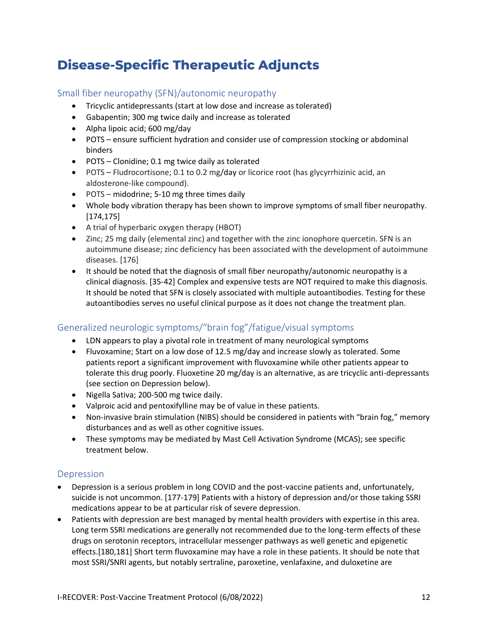# <span id="page-11-0"></span>**Disease-Specific Therapeutic Adjuncts**

### <span id="page-11-1"></span>Small fiber neuropathy (SFN)/autonomic neuropathy

- Tricyclic antidepressants (start at low dose and increase as tolerated)
- Gabapentin; 300 mg twice daily and increase as tolerated
- Alpha lipoic acid; 600 mg/day
- POTS ensure sufficient hydration and consider use of compression stocking or abdominal binders
- POTS Clonidine; 0.1 mg twice daily as tolerated
- POTS Fludrocortisone; 0.1 to 0.2 mg/day or licorice root (has glycyrrhizinic acid, an aldosterone-like compound).
- POTS midodrine; 5-10 mg three times daily
- Whole body vibration therapy has been shown to improve symptoms of small fiber neuropathy. [174,175]
- A trial of hyperbaric oxygen therapy (HBOT)
- Zinc; 25 mg daily (elemental zinc) and together with the zinc ionophore quercetin. SFN is an autoimmune disease; zinc deficiency has been associated with the development of autoimmune diseases. [176]
- It should be noted that the diagnosis of small fiber neuropathy/autonomic neuropathy is a clinical diagnosis. [35-42] Complex and expensive tests are NOT required to make this diagnosis. It should be noted that SFN is closely associated with multiple autoantibodies. Testing for these autoantibodies serves no useful clinical purpose as it does not change the treatment plan.

### <span id="page-11-2"></span>Generalized neurologic symptoms/"brain fog"/fatigue/visual symptoms

- LDN appears to play a pivotal role in treatment of many neurological symptoms
- Fluvoxamine; Start on a low dose of 12.5 mg/day and increase slowly as tolerated. Some patients report a significant improvement with fluvoxamine while other patients appear to tolerate this drug poorly. Fluoxetine 20 mg/day is an alternative, as are tricyclic anti-depressants (see section on Depression below).
- Nigella Sativa; 200-500 mg twice daily.
- Valproic acid and pentoxifylline may be of value in these patients.
- Non-invasive brain stimulation (NIBS) should be considered in patients with "brain fog," memory disturbances and as well as other cognitive issues.
- These symptoms may be mediated by Mast Cell Activation Syndrome (MCAS); see specific treatment below.

### <span id="page-11-3"></span>Depression

- Depression is a serious problem in long COVID and the post-vaccine patients and, unfortunately, suicide is not uncommon. [177-179] Patients with a history of depression and/or those taking SSRI medications appear to be at particular risk of severe depression.
- Patients with depression are best managed by mental health providers with expertise in this area. Long term SSRI medications are generally not recommended due to the long-term effects of these drugs on serotonin receptors, intracellular messenger pathways as well genetic and epigenetic effects.[180,181] Short term fluvoxamine may have a role in these patients. It should be note that most SSRI/SNRI agents, but notably sertraline, paroxetine, venlafaxine, and duloxetine are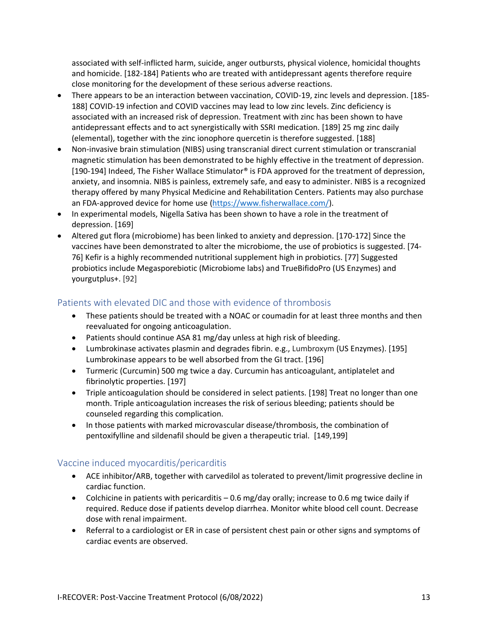associated with self-inflicted harm, suicide, anger outbursts, physical violence, homicidal thoughts and homicide. [182-184] Patients who are treated with antidepressant agents therefore require close monitoring for the development of these serious adverse reactions.

- There appears to be an interaction between vaccination, COVID-19, zinc levels and depression. [185- 188] COVID-19 infection and COVID vaccines may lead to low zinc levels. Zinc deficiency is associated with an increased risk of depression. Treatment with zinc has been shown to have antidepressant effects and to act synergistically with SSRI medication. [189] 25 mg zinc daily (elemental), together with the zinc ionophore quercetin is therefore suggested. [188]
- Non-invasive brain stimulation (NIBS) using transcranial direct current stimulation or transcranial magnetic stimulation has been demonstrated to be highly effective in the treatment of depression. [190-194] Indeed, The Fisher Wallace Stimulator® is FDA approved for the treatment of depression, anxiety, and insomnia. NIBS is painless, extremely safe, and easy to administer. NIBS is a recognized therapy offered by many Physical Medicine and Rehabilitation Centers. Patients may also purchase an FDA-approved device for home use [\(https://www.fisherwallace.com/\)](https://www.fisherwallace.com/).
- In experimental models, Nigella Sativa has been shown to have a role in the treatment of depression. [169]
- Altered gut flora (microbiome) has been linked to anxiety and depression. [170-172] Since the vaccines have been demonstrated to alter the microbiome, the use of probiotics is suggested. [74- 76] Kefir is a highly recommended nutritional supplement high in probiotics. [77] Suggested probiotics include Megasporebiotic (Microbiome labs) and TrueBifidoPro (US Enzymes) and yourgutplus+. [92]

### <span id="page-12-0"></span>Patients with elevated DIC and those with evidence of thrombosis

- These patients should be treated with a NOAC or coumadin for at least three months and then reevaluated for ongoing anticoagulation.
- Patients should continue ASA 81 mg/day unless at high risk of bleeding.
- Lumbrokinase activates plasmin and degrades fibrin. e.g., Lumbroxym (US Enzymes). [195] Lumbrokinase appears to be well absorbed from the GI tract. [196]
- Turmeric (Curcumin) 500 mg twice a day. Curcumin has anticoagulant, antiplatelet and fibrinolytic properties. [197]
- Triple anticoagulation should be considered in select patients. [198] Treat no longer than one month. Triple anticoagulation increases the risk of serious bleeding; patients should be counseled regarding this complication.
- In those patients with marked microvascular disease/thrombosis, the combination of pentoxifylline and sildenafil should be given a therapeutic trial. [149,199]

### <span id="page-12-1"></span>Vaccine induced myocarditis/pericarditis

- ACE inhibitor/ARB, together with carvedilol as tolerated to prevent/limit progressive decline in cardiac function.
- Colchicine in patients with pericarditis  $-0.6$  mg/day orally; increase to 0.6 mg twice daily if required. Reduce dose if patients develop diarrhea. Monitor white blood cell count. Decrease dose with renal impairment.
- Referral to a cardiologist or ER in case of persistent chest pain or other signs and symptoms of cardiac events are observed.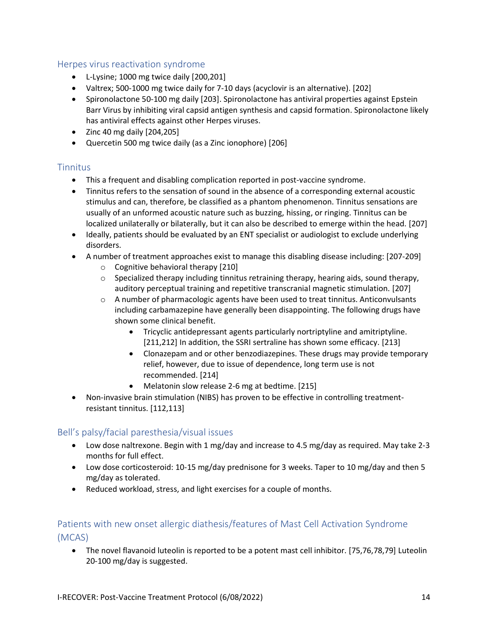#### <span id="page-13-0"></span>Herpes virus reactivation syndrome

- L-Lysine; 1000 mg twice daily [200,201]
- Valtrex; 500-1000 mg twice daily for 7-10 days (acyclovir is an alternative). [202]
- Spironolactone 50-100 mg daily [203]. Spironolactone has antiviral properties against Epstein Barr Virus by inhibiting viral capsid antigen synthesis and capsid formation. Spironolactone likely has antiviral effects against other Herpes viruses.
- Zinc 40 mg daily [204,205]
- Quercetin 500 mg twice daily (as a Zinc ionophore) [206]

### <span id="page-13-1"></span>Tinnitus

- This a frequent and disabling complication reported in post-vaccine syndrome.
- Tinnitus refers to the sensation of sound in the absence of a corresponding external acoustic stimulus and can, therefore, be classified as a phantom phenomenon. Tinnitus sensations are usually of an unformed acoustic nature such as buzzing, hissing, or ringing. Tinnitus can be localized unilaterally or bilaterally, but it can also be described to emerge within the head. [207]
- Ideally, patients should be evaluated by an ENT specialist or audiologist to exclude underlying disorders.
- A number of treatment approaches exist to manage this disabling disease including: [207-209]
	- o Cognitive behavioral therapy [210]
	- $\circ$  Specialized therapy including tinnitus retraining therapy, hearing aids, sound therapy, auditory perceptual training and repetitive transcranial magnetic stimulation. [207]
	- $\circ$  A number of pharmacologic agents have been used to treat tinnitus. Anticonvulsants including carbamazepine have generally been disappointing. The following drugs have shown some clinical benefit.
		- Tricyclic antidepressant agents particularly nortriptyline and amitriptyline. [211,212] In addition, the SSRI sertraline has shown some efficacy. [213]
		- Clonazepam and or other benzodiazepines. These drugs may provide temporary relief, however, due to issue of dependence, long term use is not recommended. [214]
		- Melatonin slow release 2-6 mg at bedtime. [215]
- Non-invasive brain stimulation (NIBS) has proven to be effective in controlling treatmentresistant tinnitus. [112,113]

### <span id="page-13-2"></span>Bell's palsy/facial paresthesia/visual issues

- Low dose naltrexone. Begin with 1 mg/day and increase to 4.5 mg/day as required. May take 2-3 months for full effect.
- Low dose corticosteroid: 10-15 mg/day prednisone for 3 weeks. Taper to 10 mg/day and then 5 mg/day as tolerated.
- Reduced workload, stress, and light exercises for a couple of months.

### <span id="page-13-3"></span>Patients with new onset allergic diathesis/features of Mast Cell Activation Syndrome (MCAS)

• The novel flavanoid luteolin is reported to be a potent mast cell inhibitor. [75,76,78,79] Luteolin 20-100 mg/day is suggested.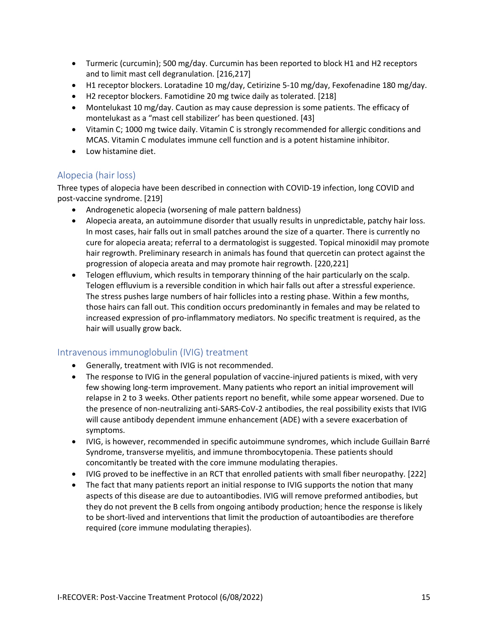- Turmeric (curcumin); 500 mg/day. Curcumin has been reported to block H1 and H2 receptors and to limit mast cell degranulation. [216,217]
- H1 receptor blockers. Loratadine 10 mg/day, Cetirizine 5-10 mg/day, Fexofenadine 180 mg/day.
- H2 receptor blockers. Famotidine 20 mg twice daily as tolerated. [218]
- Montelukast 10 mg/day. Caution as may cause depression is some patients. The efficacy of montelukast as a "mast cell stabilizer' has been questioned. [43]
- Vitamin C; 1000 mg twice daily. Vitamin C is strongly recommended for allergic conditions and MCAS. Vitamin C modulates immune cell function and is a potent histamine inhibitor.
- Low histamine diet.

### <span id="page-14-0"></span>Alopecia (hair loss)

Three types of alopecia have been described in connection with COVID-19 infection, long COVID and post-vaccine syndrome. [219]

- Androgenetic alopecia (worsening of male pattern baldness)
- Alopecia areata, an autoimmune disorder that usually results in unpredictable, patchy hair loss. In most cases, hair falls out in small patches around the size of a quarter. There is currently no cure for alopecia areata; referral to a dermatologist is suggested. Topical minoxidil may promote hair regrowth. Preliminary research in animals has found that quercetin can protect against the progression of alopecia areata and may promote hair regrowth. [220,221]
- Telogen effluvium, which results in temporary thinning of the hair particularly on the scalp. Telogen effluvium is a reversible condition in which hair falls out after a stressful experience. The stress pushes large numbers of hair follicles into a resting phase. Within a few months, those hairs can fall out. This condition occurs predominantly in females and may be related to increased expression of pro-inflammatory mediators. No specific treatment is required, as the hair will usually grow back.

### <span id="page-14-1"></span>Intravenous immunoglobulin (IVIG) treatment

- Generally, treatment with IVIG is not recommended.
- The response to IVIG in the general population of vaccine-injured patients is mixed, with very few showing long-term improvement. Many patients who report an initial improvement will relapse in 2 to 3 weeks. Other patients report no benefit, while some appear worsened. Due to the presence of non-neutralizing anti-SARS-CoV-2 antibodies, the real possibility exists that IVIG will cause antibody dependent immune enhancement (ADE) with a severe exacerbation of symptoms.
- IVIG, is however, recommended in specific autoimmune syndromes, which include Guillain Barré Syndrome, transverse myelitis, and immune thrombocytopenia. These patients should concomitantly be treated with the core immune modulating therapies.
- IVIG proved to be ineffective in an RCT that enrolled patients with small fiber neuropathy. [222]
- The fact that many patients report an initial response to IVIG supports the notion that many aspects of this disease are due to autoantibodies. IVIG will remove preformed antibodies, but they do not prevent the B cells from ongoing antibody production; hence the response is likely to be short-lived and interventions that limit the production of autoantibodies are therefore required (core immune modulating therapies).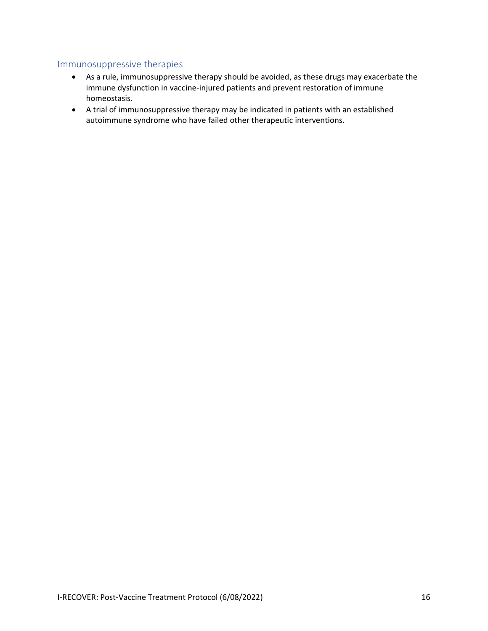#### <span id="page-15-0"></span>Immunosuppressive therapies

- As a rule, immunosuppressive therapy should be avoided, as these drugs may exacerbate the immune dysfunction in vaccine-injured patients and prevent restoration of immune homeostasis.
- A trial of immunosuppressive therapy may be indicated in patients with an established autoimmune syndrome who have failed other therapeutic interventions.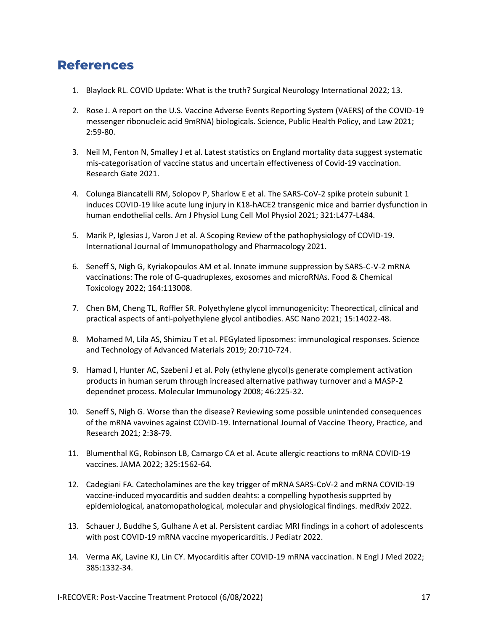### <span id="page-16-0"></span>**References**

- 1. Blaylock RL. COVID Update: What is the truth? Surgical Neurology International 2022; 13.
- 2. Rose J. A report on the U.S. Vaccine Adverse Events Reporting System (VAERS) of the COVID-19 messenger ribonucleic acid 9mRNA) biologicals. Science, Public Health Policy, and Law 2021; 2:59-80.
- 3. Neil M, Fenton N, Smalley J et al. Latest statistics on England mortality data suggest systematic mis-categorisation of vaccine status and uncertain effectiveness of Covid-19 vaccination. Research Gate 2021.
- 4. Colunga Biancatelli RM, Solopov P, Sharlow E et al. The SARS-CoV-2 spike protein subunit 1 induces COVID-19 like acute lung injury in K18-hACE2 transgenic mice and barrier dysfunction in human endothelial cells. Am J Physiol Lung Cell Mol Physiol 2021; 321:L477-L484.
- 5. Marik P, Iglesias J, Varon J et al. A Scoping Review of the pathophysiology of COVID-19. International Journal of Immunopathology and Pharmacology 2021.
- 6. Seneff S, Nigh G, Kyriakopoulos AM et al. Innate immune suppression by SARS-C-V-2 mRNA vaccinations: The role of G-quadruplexes, exosomes and microRNAs. Food & Chemical Toxicology 2022; 164:113008.
- 7. Chen BM, Cheng TL, Roffler SR. Polyethylene glycol immunogenicity: Theorectical, clinical and practical aspects of anti-polyethylene glycol antibodies. ASC Nano 2021; 15:14022-48.
- 8. Mohamed M, Lila AS, Shimizu T et al. PEGylated liposomes: immunological responses. Science and Technology of Advanced Materials 2019; 20:710-724.
- 9. Hamad I, Hunter AC, Szebeni J et al. Poly (ethylene glycol)s generate complement activation products in human serum through increased alternative pathway turnover and a MASP-2 dependnet process. Molecular Immunology 2008; 46:225-32.
- 10. Seneff S, Nigh G. Worse than the disease? Reviewing some possible unintended consequences of the mRNA vavvines against COVID-19. International Journal of Vaccine Theory, Practice, and Research 2021; 2:38-79.
- 11. Blumenthal KG, Robinson LB, Camargo CA et al. Acute allergic reactions to mRNA COVID-19 vaccines. JAMA 2022; 325:1562-64.
- 12. Cadegiani FA. Catecholamines are the key trigger of mRNA SARS-CoV-2 and mRNA COVID-19 vaccine-induced myocarditis and sudden deahts: a compelling hypothesis supprted by epidemiological, anatomopathological, molecular and physiological findings. medRxiv 2022.
- 13. Schauer J, Buddhe S, Gulhane A et al. Persistent cardiac MRI findings in a cohort of adolescents with post COVID-19 mRNA vaccine myopericarditis. J Pediatr 2022.
- 14. Verma AK, Lavine KJ, Lin CY. Myocarditis after COVID-19 mRNA vaccination. N Engl J Med 2022; 385:1332-34.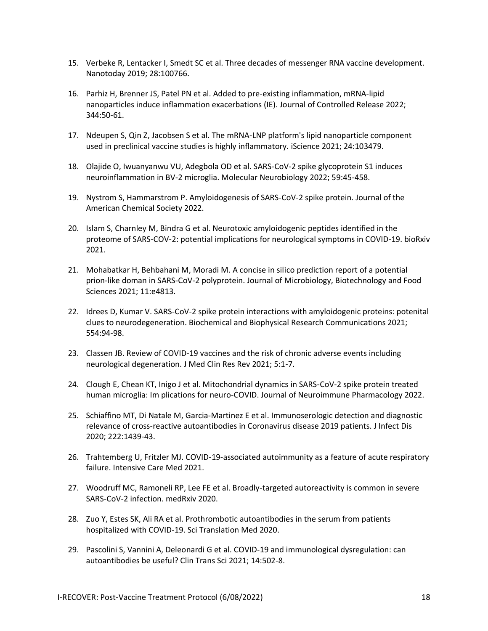- 15. Verbeke R, Lentacker I, Smedt SC et al. Three decades of messenger RNA vaccine development. Nanotoday 2019; 28:100766.
- 16. Parhiz H, Brenner JS, Patel PN et al. Added to pre-existing inflammation, mRNA-lipid nanoparticles induce inflammation exacerbations (IE). Journal of Controlled Release 2022; 344:50-61.
- 17. Ndeupen S, Qin Z, Jacobsen S et al. The mRNA-LNP platform's lipid nanoparticle component used in preclinical vaccine studies is highly inflammatory. iScience 2021; 24:103479.
- 18. Olajide O, Iwuanyanwu VU, Adegbola OD et al. SARS-CoV-2 spike glycoprotein S1 induces neuroinflammation in BV-2 microglia. Molecular Neurobiology 2022; 59:45-458.
- 19. Nystrom S, Hammarstrom P. Amyloidogenesis of SARS-CoV-2 spike protein. Journal of the American Chemical Society 2022.
- 20. Islam S, Charnley M, Bindra G et al. Neurotoxic amyloidogenic peptides identified in the proteome of SARS-COV-2: potential implications for neurological symptoms in COVID-19. bioRxiv 2021.
- 21. Mohabatkar H, Behbahani M, Moradi M. A concise in silico prediction report of a potential prion-like doman in SARS-CoV-2 polyprotein. Journal of Microbiology, Biotechnology and Food Sciences 2021; 11:e4813.
- 22. Idrees D, Kumar V. SARS-CoV-2 spike protein interactions with amyloidogenic proteins: potenital clues to neurodegeneration. Biochemical and Biophysical Research Communications 2021; 554:94-98.
- 23. Classen JB. Review of COVID-19 vaccines and the risk of chronic adverse events including neurological degeneration. J Med Clin Res Rev 2021; 5:1-7.
- 24. Clough E, Chean KT, Inigo J et al. Mitochondrial dynamics in SARS-CoV-2 spike protein treated human microglia: Im plications for neuro-COVID. Journal of Neuroimmune Pharmacology 2022.
- 25. Schiaffino MT, Di Natale M, Garcia-Martinez E et al. Immunoserologic detection and diagnostic relevance of cross-reactive autoantibodies in Coronavirus disease 2019 patients. J Infect Dis 2020; 222:1439-43.
- 26. Trahtemberg U, Fritzler MJ. COVID-19-associated autoimmunity as a feature of acute respiratory failure. Intensive Care Med 2021.
- 27. Woodruff MC, Ramoneli RP, Lee FE et al. Broadly-targeted autoreactivity is common in severe SARS-CoV-2 infection. medRxiv 2020.
- 28. Zuo Y, Estes SK, Ali RA et al. Prothrombotic autoantibodies in the serum from patients hospitalized with COVID-19. Sci Translation Med 2020.
- 29. Pascolini S, Vannini A, Deleonardi G et al. COVID-19 and immunological dysregulation: can autoantibodies be useful? Clin Trans Sci 2021; 14:502-8.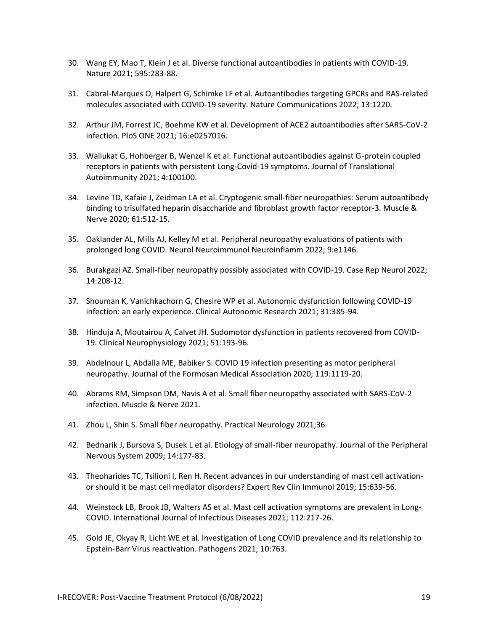- 30. Wang EY, Mao T, Klein J et al. Diverse functional autoantibodies in patients with COVID-19. Nature 2021; 595:283-88.
- 31. Cabral-Marques O, Halpert G, Schimke LF et al. Autoantibodies targeting GPCRs and RAS-related molecules associated with COVID-19 severity. Nature Communications 2022; 13:1220.
- 32. Arthur JM, Forrest JC, Boehme KW et al. Development of ACE2 autoantibodies after SARS-CoV-2 infection. PloS ONE 2021; 16:e0257016.
- 33. Wallukat G, Hohberger B, Wenzel K et al. Functional autoantibodies against G-protein coupled receptors in patients with persistent Long-Covid-19 symptoms. Journal of Translational Autoimmunity 2021; 4:100100.
- 34. Levine TD, Kafaie J, Zeidman LA et al. Cryptogenic small-fiber neuropathies: Serum autoantibody binding to trisulfated heparin disaccharide and fibroblast growth factor receptor-3. Muscle & Nerve 2020; 61:512-15.
- 35. Oaklander AL, Mills AJ, Kelley M et al. Peripheral neuropathy evaluations of patients with prolonged long COVID. Neurol Neuroimmunol Neuroinflamm 2022; 9:e1146.
- 36. Burakgazi AZ. Small-fiber neuropathy possibly associated with COVID-19. Case Rep Neurol 2022; 14:208-12.
- 37. Shouman K, Vanichkachorn G, Chesire WP et al. Autonomic dysfunction following COVID-19 infection: an early experience. Clinical Autonomic Research 2021; 31:385-94.
- 38. Hinduja A, Moutairou A, Calvet JH. Sudomotor dysfunction in patients recovered from COVID-19. Clinical Neurophysiology 2021; 51:193-96.
- 39. Abdelnour L, Abdalla ME, Babiker S. COVID 19 infection presenting as motor peripheral neuropathy. Journal of the Formosan Medical Association 2020; 119:1119-20.
- 40. Abrams RM, Simpson DM, Navis A et al. Small fiber neuropathy associated with SARS-CoV-2 infection. Muscle & Nerve 2021.
- 41. Zhou L, Shin S. Small fiber neuropathy. Practical Neurology 2021;36.
- 42. Bednarik J, Bursova S, Dusek L et al. Etiology of small-fiber neuropathy. Journal of the Peripheral Nervous System 2009; 14:177-83.
- 43. Theoharides TC, Tsilioni I, Ren H. Recent advances in our understanding of mast cell activationor should it be mast cell mediator disorders? Expert Rev Clin Immunol 2019; 15:639-56.
- 44. Weinstock LB, Brook JB, Walters AS et al. Mast cell activation symptoms are prevalent in Long-COVID. International Journal of Infectious Diseases 2021; 112:217-26.
- 45. Gold JE, Okyay R, Licht WE et al. Investigation of Long COVID prevalence and its relationship to Epstein-Barr Virus reactivation. Pathogens 2021; 10:763.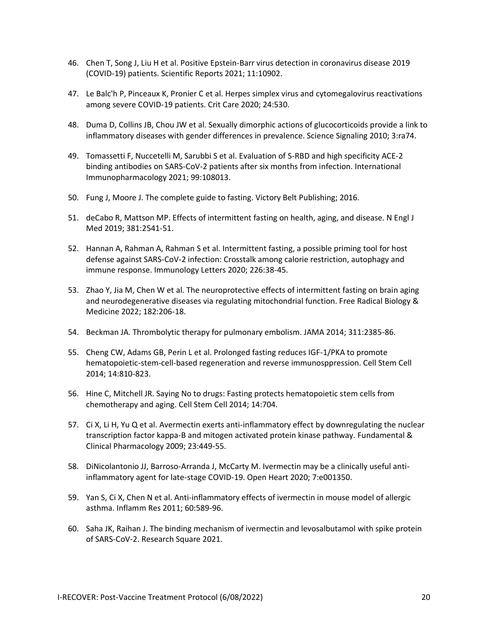- 46. Chen T, Song J, Liu H et al. Positive Epstein-Barr virus detection in coronavirus disease 2019 (COVID-19) patients. Scientific Reports 2021; 11:10902.
- 47. Le Balc'h P, Pinceaux K, Pronier C et al. Herpes simplex virus and cytomegalovirus reactivations among severe COVID-19 patients. Crit Care 2020; 24:530.
- 48. Duma D, Collins JB, Chou JW et al. Sexually dimorphic actions of glucocorticoids provide a link to inflammatory diseases with gender differences in prevalence. Science Signaling 2010; 3:ra74.
- 49. Tomassetti F, Nuccetelli M, Sarubbi S et al. Evaluation of S-RBD and high specificity ACE-2 binding antibodies on SARS-CoV-2 patients after six months from infection. International Immunopharmacology 2021; 99:108013.
- 50. Fung J, Moore J. The complete guide to fasting. Victory Belt Publishing; 2016.
- 51. deCabo R, Mattson MP. Effects of intermittent fasting on health, aging, and disease. N Engl J Med 2019; 381:2541-51.
- 52. Hannan A, Rahman A, Rahman S et al. Intermittent fasting, a possible priming tool for host defense against SARS-CoV-2 infection: Crosstalk among calorie restriction, autophagy and immune response. Immunology Letters 2020; 226:38-45.
- 53. Zhao Y, Jia M, Chen W et al. The neuroprotective effects of intermittent fasting on brain aging and neurodegenerative diseases via regulating mitochondrial function. Free Radical Biology & Medicine 2022; 182:206-18.
- 54. Beckman JA. Thrombolytic therapy for pulmonary embolism. JAMA 2014; 311:2385-86.
- 55. Cheng CW, Adams GB, Perin L et al. Prolonged fasting reduces IGF-1/PKA to promote hematopoietic-stem-cell-based regeneration and reverse immunosppression. Cell Stem Cell 2014; 14:810-823.
- 56. Hine C, Mitchell JR. Saying No to drugs: Fasting protects hematopoietic stem cells from chemotherapy and aging. Cell Stem Cell 2014; 14:704.
- 57. Ci X, Li H, Yu Q et al. Avermectin exerts anti-inflammatory effect by downregulating the nuclear transcription factor kappa-B and mitogen activated protein kinase pathway. Fundamental & Clinical Pharmacology 2009; 23:449-55.
- 58. DiNicolantonio JJ, Barroso-Arranda J, McCarty M. Ivermectin may be a clinically useful antiinflammatory agent for late-stage COVID-19. Open Heart 2020; 7:e001350.
- 59. Yan S, Ci X, Chen N et al. Anti-inflammatory effects of ivermectin in mouse model of allergic asthma. Inflamm Res 2011; 60:589-96.
- 60. Saha JK, Raihan J. The binding mechanism of ivermectin and levosalbutamol with spike protein of SARS-CoV-2. Research Square 2021.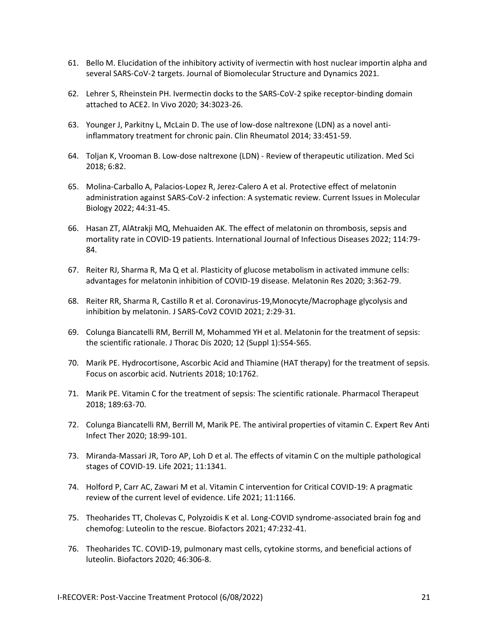- 61. Bello M. Elucidation of the inhibitory activity of ivermectin with host nuclear importin alpha and several SARS-CoV-2 targets. Journal of Biomolecular Structure and Dynamics 2021.
- 62. Lehrer S, Rheinstein PH. Ivermectin docks to the SARS-CoV-2 spike receptor-binding domain attached to ACE2. In Vivo 2020; 34:3023-26.
- 63. Younger J, Parkitny L, McLain D. The use of low-dose naltrexone (LDN) as a novel antiinflammatory treatment for chronic pain. Clin Rheumatol 2014; 33:451-59.
- 64. Toljan K, Vrooman B. Low-dose naltrexone (LDN) Review of therapeutic utilization. Med Sci 2018; 6:82.
- 65. Molina-Carballo A, Palacios-Lopez R, Jerez-Calero A et al. Protective effect of melatonin administration against SARS-CoV-2 infection: A systematic review. Current Issues in Molecular Biology 2022; 44:31-45.
- 66. Hasan ZT, AlAtrakji MQ, Mehuaiden AK. The effect of melatonin on thrombosis, sepsis and mortality rate in COVID-19 patients. International Journal of Infectious Diseases 2022; 114:79- 84.
- 67. Reiter RJ, Sharma R, Ma Q et al. Plasticity of glucose metabolism in activated immune cells: advantages for melatonin inhibition of COVID-19 disease. Melatonin Res 2020; 3:362-79.
- 68. Reiter RR, Sharma R, Castillo R et al. Coronavirus-19,Monocyte/Macrophage glycolysis and inhibition by melatonin. J SARS-CoV2 COVID 2021; 2:29-31.
- 69. Colunga Biancatelli RM, Berrill M, Mohammed YH et al. Melatonin for the treatment of sepsis: the scientific rationale. J Thorac Dis 2020; 12 (Suppl 1):S54-S65.
- 70. Marik PE. Hydrocortisone, Ascorbic Acid and Thiamine (HAT therapy) for the treatment of sepsis. Focus on ascorbic acid. Nutrients 2018; 10:1762.
- 71. Marik PE. Vitamin C for the treatment of sepsis: The scientific rationale. Pharmacol Therapeut 2018; 189:63-70.
- 72. Colunga Biancatelli RM, Berrill M, Marik PE. The antiviral properties of vitamin C. Expert Rev Anti Infect Ther 2020; 18:99-101.
- 73. Miranda-Massari JR, Toro AP, Loh D et al. The effects of vitamin C on the multiple pathological stages of COVID-19. Life 2021; 11:1341.
- 74. Holford P, Carr AC, Zawari M et al. Vitamin C intervention for Critical COVID-19: A pragmatic review of the current level of evidence. Life 2021; 11:1166.
- 75. Theoharides TT, Cholevas C, Polyzoidis K et al. Long-COVID syndrome-associated brain fog and chemofog: Luteolin to the rescue. Biofactors 2021; 47:232-41.
- 76. Theoharides TC. COVID-19, pulmonary mast cells, cytokine storms, and beneficial actions of luteolin. Biofactors 2020; 46:306-8.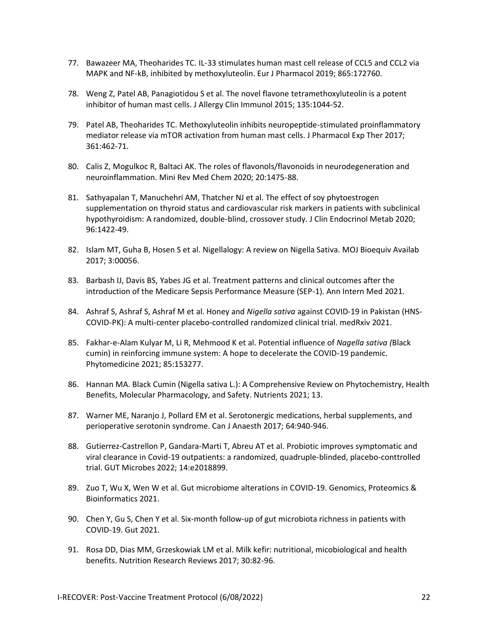- 77. Bawazeer MA, Theoharides TC. IL-33 stimulates human mast cell release of CCL5 and CCL2 via MAPK and NF-kB, inhibited by methoxyluteolin. Eur J Pharmacol 2019; 865:172760.
- 78. Weng Z, Patel AB, Panagiotidou S et al. The novel flavone tetramethoxyluteolin is a potent inhibitor of human mast cells. J Allergy Clin Immunol 2015; 135:1044-52.
- 79. Patel AB, Theoharides TC. Methoxyluteolin inhibits neuropeptide-stimulated proinflammatory mediator release via mTOR activation from human mast cells. J Pharmacol Exp Ther 2017; 361:462-71.
- 80. Calis Z, Mogulkoc R, Baltaci AK. The roles of flavonols/flavonoids in neurodegeneration and neuroinflammation. Mini Rev Med Chem 2020; 20:1475-88.
- 81. Sathyapalan T, Manuchehri AM, Thatcher NJ et al. The effect of soy phytoestrogen supplementation on thyroid status and cardiovascular risk markers in patients with subclinical hypothyroidism: A randomized, double-blind, crossover study. J Clin Endocrinol Metab 2020; 96:1422-49.
- 82. Islam MT, Guha B, Hosen S et al. Nigellalogy: A review on Nigella Sativa. MOJ Bioequiv Availab 2017; 3:00056.
- 83. Barbash IJ, Davis BS, Yabes JG et al. Treatment patterns and clinical outcomes after the introduction of the Medicare Sepsis Performance Measure (SEP-1). Ann Intern Med 2021.
- 84. Ashraf S, Ashraf S, Ashraf M et al. Honey and *Nigella sativa* against COVID-19 in Pakistan (HNS-COVID-PK): A multi-center placebo-controlled randomized clinical trial. medRxiv 2021.
- 85. Fakhar-e-Alam Kulyar M, Li R, Mehmood K et al. Potential influence of *Nagella sativa (*Black cumin) in reinforcing immune system: A hope to decelerate the COVID-19 pandemic. Phytomedicine 2021; 85:153277.
- 86. Hannan MA. Black Cumin (Nigella sativa L.): A Comprehensive Review on Phytochemistry, Health Benefits, Molecular Pharmacology, and Safety. Nutrients 2021; 13.
- 87. Warner ME, Naranjo J, Pollard EM et al. Serotonergic medications, herbal supplements, and perioperative serotonin syndrome. Can J Anaesth 2017; 64:940-946.
- 88. Gutierrez-Castrellon P, Gandara-Marti T, Abreu AT et al. Probiotic improves symptomatic and viral clearance in Covid-19 outpatients: a randomized, quadruple-blinded, placebo-conttrolled trial. GUT Microbes 2022; 14:e2018899.
- 89. Zuo T, Wu X, Wen W et al. Gut microbiome alterations in COVID-19. Genomics, Proteomics & Bioinformatics 2021.
- 90. Chen Y, Gu S, Chen Y et al. Six-month follow-up of gut microbiota richness in patients with COVID-19. Gut 2021.
- 91. Rosa DD, Dias MM, Grzeskowiak LM et al. Milk kefir: nutritional, micobiological and health benefits. Nutrition Research Reviews 2017; 30:82-96.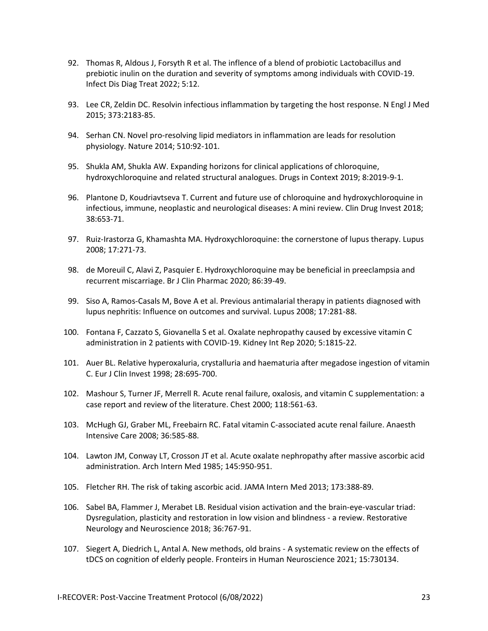- 92. Thomas R, Aldous J, Forsyth R et al. The inflence of a blend of probiotic Lactobacillus and prebiotic inulin on the duration and severity of symptoms among individuals with COVID-19. Infect Dis Diag Treat 2022; 5:12.
- 93. Lee CR, Zeldin DC. Resolvin infectious inflammation by targeting the host response. N Engl J Med 2015; 373:2183-85.
- 94. Serhan CN. Novel pro-resolving lipid mediators in inflammation are leads for resolution physiology. Nature 2014; 510:92-101.
- 95. Shukla AM, Shukla AW. Expanding horizons for clinical applications of chloroquine, hydroxychloroquine and related structural analogues. Drugs in Context 2019; 8:2019-9-1.
- 96. Plantone D, Koudriavtseva T. Current and future use of chloroquine and hydroxychloroquine in infectious, immune, neoplastic and neurological diseases: A mini review. Clin Drug Invest 2018; 38:653-71.
- 97. Ruiz-Irastorza G, Khamashta MA. Hydroxychloroquine: the cornerstone of lupus therapy. Lupus 2008; 17:271-73.
- 98. de Moreuil C, Alavi Z, Pasquier E. Hydroxychloroquine may be beneficial in preeclampsia and recurrent miscarriage. Br J Clin Pharmac 2020; 86:39-49.
- 99. Siso A, Ramos-Casals M, Bove A et al. Previous antimalarial therapy in patients diagnosed with lupus nephritis: Influence on outcomes and survival. Lupus 2008; 17:281-88.
- 100. Fontana F, Cazzato S, Giovanella S et al. Oxalate nephropathy caused by excessive vitamin C administration in 2 patients with COVID-19. Kidney Int Rep 2020; 5:1815-22.
- 101. Auer BL. Relative hyperoxaluria, crystalluria and haematuria after megadose ingestion of vitamin C. Eur J Clin Invest 1998; 28:695-700.
- 102. Mashour S, Turner JF, Merrell R. Acute renal failure, oxalosis, and vitamin C supplementation: a case report and review of the literature. Chest 2000; 118:561-63.
- 103. McHugh GJ, Graber ML, Freebairn RC. Fatal vitamin C-associated acute renal failure. Anaesth Intensive Care 2008; 36:585-88.
- 104. Lawton JM, Conway LT, Crosson JT et al. Acute oxalate nephropathy after massive ascorbic acid administration. Arch Intern Med 1985; 145:950-951.
- 105. Fletcher RH. The risk of taking ascorbic acid. JAMA Intern Med 2013; 173:388-89.
- 106. Sabel BA, Flammer J, Merabet LB. Residual vision activation and the brain-eye-vascular triad: Dysregulation, plasticity and restoration in low vision and blindness - a review. Restorative Neurology and Neuroscience 2018; 36:767-91.
- 107. Siegert A, Diedrich L, Antal A. New methods, old brains A systematic review on the effects of tDCS on cognition of elderly people. Fronteirs in Human Neuroscience 2021; 15:730134.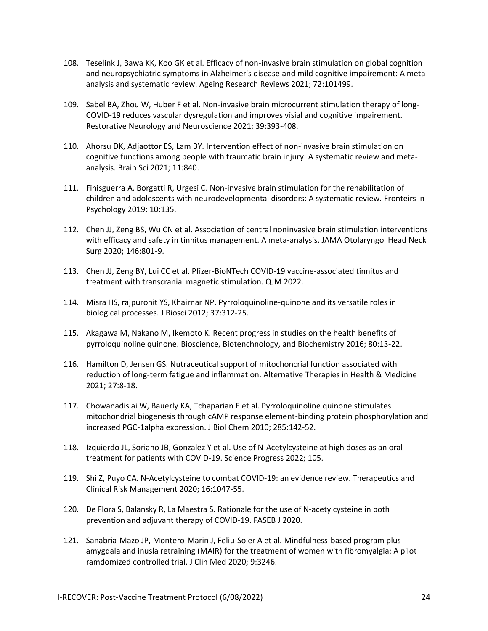- 108. Teselink J, Bawa KK, Koo GK et al. Efficacy of non-invasive brain stimulation on global cognition and neuropsychiatric symptoms in Alzheimer's disease and mild cognitive impairement: A metaanalysis and systematic review. Ageing Research Reviews 2021; 72:101499.
- 109. Sabel BA, Zhou W, Huber F et al. Non-invasive brain microcurrent stimulation therapy of long-COVID-19 reduces vascular dysregulation and improves visial and cognitive impairement. Restorative Neurology and Neuroscience 2021; 39:393-408.
- 110. Ahorsu DK, Adjaottor ES, Lam BY. Intervention effect of non-invasive brain stimulation on cognitive functions among people with traumatic brain injury: A systematic review and metaanalysis. Brain Sci 2021; 11:840.
- 111. Finisguerra A, Borgatti R, Urgesi C. Non-invasive brain stimulation for the rehabilitation of children and adolescents with neurodevelopmental disorders: A systematic review. Fronteirs in Psychology 2019; 10:135.
- 112. Chen JJ, Zeng BS, Wu CN et al. Association of central noninvasive brain stimulation interventions with efficacy and safety in tinnitus management. A meta-analysis. JAMA Otolaryngol Head Neck Surg 2020; 146:801-9.
- 113. Chen JJ, Zeng BY, Lui CC et al. Pfizer-BioNTech COVID-19 vaccine-associated tinnitus and treatment with transcranial magnetic stimulation. QJM 2022.
- 114. Misra HS, rajpurohit YS, Khairnar NP. Pyrroloquinoline-quinone and its versatile roles in biological processes. J Biosci 2012; 37:312-25.
- 115. Akagawa M, Nakano M, Ikemoto K. Recent progress in studies on the health benefits of pyrroloquinoline quinone. Bioscience, Biotenchnology, and Biochemistry 2016; 80:13-22.
- 116. Hamilton D, Jensen GS. Nutraceutical support of mitochoncrial function associated with reduction of long-term fatigue and inflammation. Alternative Therapies in Health & Medicine 2021; 27:8-18.
- 117. Chowanadisiai W, Bauerly KA, Tchaparian E et al. Pyrroloquinoline quinone stimulates mitochondrial biogenesis through cAMP response element-binding protein phosphorylation and increased PGC-1alpha expression. J Biol Chem 2010; 285:142-52.
- 118. Izquierdo JL, Soriano JB, Gonzalez Y et al. Use of N-Acetylcysteine at high doses as an oral treatment for patients with COVID-19. Science Progress 2022; 105.
- 119. Shi Z, Puyo CA. N-Acetylcysteine to combat COVID-19: an evidence review. Therapeutics and Clinical Risk Management 2020; 16:1047-55.
- 120. De Flora S, Balansky R, La Maestra S. Rationale for the use of N-acetylcysteine in both prevention and adjuvant therapy of COVID-19. FASEB J 2020.
- 121. Sanabria-Mazo JP, Montero-Marin J, Feliu-Soler A et al. Mindfulness-based program plus amygdala and inusla retraining (MAIR) for the treatment of women with fibromyalgia: A pilot ramdomized controlled trial. J Clin Med 2020; 9:3246.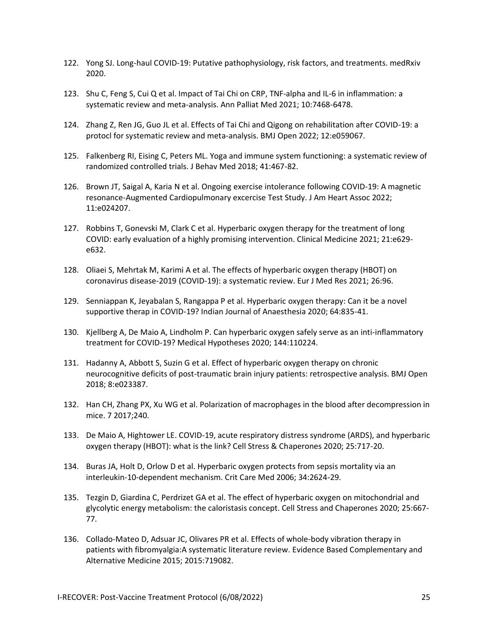- 122. Yong SJ. Long-haul COVID-19: Putative pathophysiology, risk factors, and treatments. medRxiv 2020.
- 123. Shu C, Feng S, Cui Q et al. Impact of Tai Chi on CRP, TNF-alpha and IL-6 in inflammation: a systematic review and meta-analysis. Ann Palliat Med 2021; 10:7468-6478.
- 124. Zhang Z, Ren JG, Guo JL et al. Effects of Tai Chi and Qigong on rehabilitation after COVID-19: a protocl for systematic review and meta-analysis. BMJ Open 2022; 12:e059067.
- 125. Falkenberg RI, Eising C, Peters ML. Yoga and immune system functioning: a systematic review of randomized controlled trials. J Behav Med 2018; 41:467-82.
- 126. Brown JT, Saigal A, Karia N et al. Ongoing exercise intolerance following COVID-19: A magnetic resonance-Augmented Cardiopulmonary excercise Test Study. J Am Heart Assoc 2022; 11:e024207.
- 127. Robbins T, Gonevski M, Clark C et al. Hyperbaric oxygen therapy for the treatment of long COVID: early evaluation of a highly promising intervention. Clinical Medicine 2021; 21:e629 e632.
- 128. Oliaei S, Mehrtak M, Karimi A et al. The effects of hyperbaric oxygen therapy (HBOT) on coronavirus disease-2019 (COVID-19): a systematic review. Eur J Med Res 2021; 26:96.
- 129. Senniappan K, Jeyabalan S, Rangappa P et al. Hyperbaric oxygen therapy: Can it be a novel supportive therap in COVID-19? Indian Journal of Anaesthesia 2020; 64:835-41.
- 130. Kjellberg A, De Maio A, Lindholm P. Can hyperbaric oxygen safely serve as an inti-inflammatory treatment for COVID-19? Medical Hypotheses 2020; 144:110224.
- 131. Hadanny A, Abbott S, Suzin G et al. Effect of hyperbaric oxygen therapy on chronic neurocognitive deficits of post-traumatic brain injury patients: retrospective analysis. BMJ Open 2018; 8:e023387.
- 132. Han CH, Zhang PX, Xu WG et al. Polarization of macrophages in the blood after decompression in mice. 7 2017;240.
- 133. De Maio A, Hightower LE. COVID-19, acute respiratory distress syndrome (ARDS), and hyperbaric oxygen therapy (HBOT): what is the link? Cell Stress & Chaperones 2020; 25:717-20.
- 134. Buras JA, Holt D, Orlow D et al. Hyperbaric oxygen protects from sepsis mortality via an interleukin-10-dependent mechanism. Crit Care Med 2006; 34:2624-29.
- 135. Tezgin D, Giardina C, Perdrizet GA et al. The effect of hyperbaric oxygen on mitochondrial and glycolytic energy metabolism: the caloristasis concept. Cell Stress and Chaperones 2020; 25:667- 77.
- 136. Collado-Mateo D, Adsuar JC, Olivares PR et al. Effects of whole-body vibration therapy in patients with fibromyalgia:A systematic literature review. Evidence Based Complementary and Alternative Medicine 2015; 2015:719082.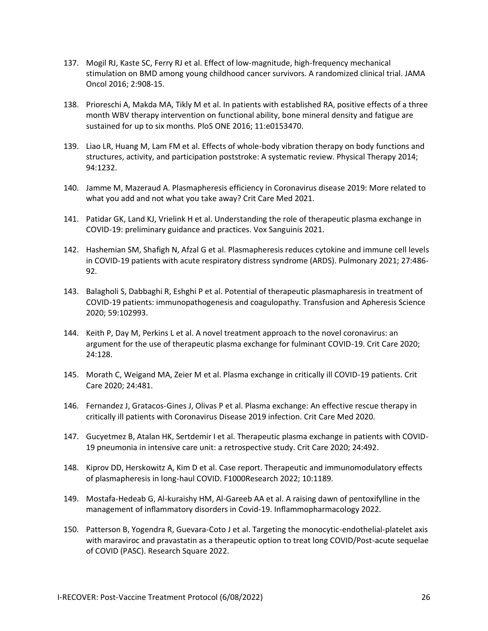- 137. Mogil RJ, Kaste SC, Ferry RJ et al. Effect of low-magnitude, high-frequency mechanical stimulation on BMD among young childhood cancer survivors. A randomized clinical trial. JAMA Oncol 2016; 2:908-15.
- 138. Prioreschi A, Makda MA, Tikly M et al. In patients with established RA, positive effects of a three month WBV therapy intervention on functional ability, bone mineral density and fatigue are sustained for up to six months. PloS ONE 2016; 11:e0153470.
- 139. Liao LR, Huang M, Lam FM et al. Effects of whole-body vibration therapy on body functions and structures, activity, and participation poststroke: A systematic review. Physical Therapy 2014; 94:1232.
- 140. Jamme M, Mazeraud A. Plasmapheresis efficiency in Coronavirus disease 2019: More related to what you add and not what you take away? Crit Care Med 2021.
- 141. Patidar GK, Land KJ, Vrielink H et al. Understanding the role of therapeutic plasma exchange in COVID-19: preliminary guidance and practices. Vox Sanguinis 2021.
- 142. Hashemian SM, Shafigh N, Afzal G et al. Plasmapheresis reduces cytokine and immune cell levels in COVID-19 patients with acute respiratory distress syndrome (ARDS). Pulmonary 2021; 27:486- 92.
- 143. Balagholi S, Dabbaghi R, Eshghi P et al. Potential of therapeutic plasmapharesis in treatment of COVID-19 patients: immunopathogenesis and coagulopathy. Transfusion and Apheresis Science 2020; 59:102993.
- 144. Keith P, Day M, Perkins L et al. A novel treatment approach to the novel coronavirus: an argument for the use of therapeutic plasma exchange for fulminant COVID-19. Crit Care 2020; 24:128.
- 145. Morath C, Weigand MA, Zeier M et al. Plasma exchange in critically ill COVID-19 patients. Crit Care 2020; 24:481.
- 146. Fernandez J, Gratacos-Gines J, Olivas P et al. Plasma exchange: An effective rescue therapy in critically ill patients with Coronavirus Disease 2019 infection. Crit Care Med 2020.
- 147. Gucyetmez B, Atalan HK, Sertdemir I et al. Therapeutic plasma exchange in patients with COVID-19 pneumonia in intensive care unit: a retrospective study. Crit Care 2020; 24:492.
- 148. Kiprov DD, Herskowitz A, Kim D et al. Case report. Therapeutic and immunomodulatory effects of plasmapheresis in long-haul COVID. F1000Research 2022; 10:1189.
- 149. Mostafa-Hedeab G, Al-kuraishy HM, Al-Gareeb AA et al. A raising dawn of pentoxifylline in the management of inflammatory disorders in Covid-19. Inflammopharmacology 2022.
- 150. Patterson B, Yogendra R, Guevara-Coto J et al. Targeting the monocytic-endothelial-platelet axis with maraviroc and pravastatin as a therapeutic option to treat long COVID/Post-acute sequelae of COVID (PASC). Research Square 2022.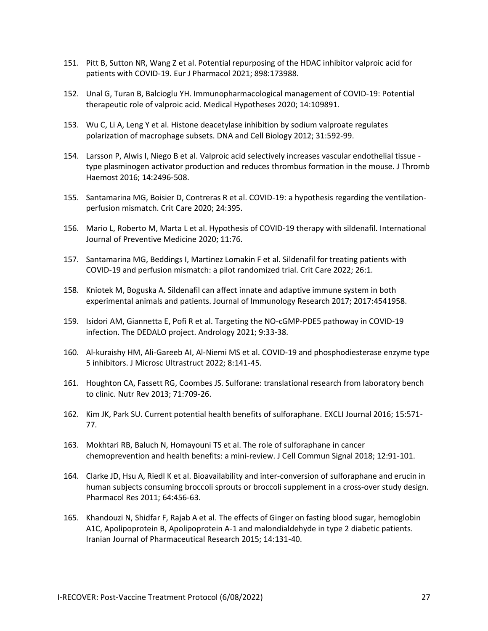- 151. Pitt B, Sutton NR, Wang Z et al. Potential repurposing of the HDAC inhibitor valproic acid for patients with COVID-19. Eur J Pharmacol 2021; 898:173988.
- 152. Unal G, Turan B, Balcioglu YH. Immunopharmacological management of COVID-19: Potential therapeutic role of valproic acid. Medical Hypotheses 2020; 14:109891.
- 153. Wu C, Li A, Leng Y et al. Histone deacetylase inhibition by sodium valproate regulates polarization of macrophage subsets. DNA and Cell Biology 2012; 31:592-99.
- 154. Larsson P, Alwis I, Niego B et al. Valproic acid selectively increases vascular endothelial tissue type plasminogen activator production and reduces thrombus formation in the mouse. J Thromb Haemost 2016; 14:2496-508.
- 155. Santamarina MG, Boisier D, Contreras R et al. COVID-19: a hypothesis regarding the ventilationperfusion mismatch. Crit Care 2020; 24:395.
- 156. Mario L, Roberto M, Marta L et al. Hypothesis of COVID-19 therapy with sildenafil. International Journal of Preventive Medicine 2020; 11:76.
- 157. Santamarina MG, Beddings I, Martinez Lomakin F et al. Sildenafil for treating patients with COVID-19 and perfusion mismatch: a pilot randomized trial. Crit Care 2022; 26:1.
- 158. Kniotek M, Boguska A. Sildenafil can affect innate and adaptive immune system in both experimental animals and patients. Journal of Immunology Research 2017; 2017:4541958.
- 159. Isidori AM, Giannetta E, Pofi R et al. Targeting the NO-cGMP-PDE5 pathoway in COVID-19 infection. The DEDALO project. Andrology 2021; 9:33-38.
- 160. Al-kuraishy HM, Ali-Gareeb AI, Al-Niemi MS et al. COVID-19 and phosphodiesterase enzyme type 5 inhibitors. J Microsc Ultrastruct 2022; 8:141-45.
- 161. Houghton CA, Fassett RG, Coombes JS. Sulforane: translational research from laboratory bench to clinic. Nutr Rev 2013; 71:709-26.
- 162. Kim JK, Park SU. Current potential health benefits of sulforaphane. EXCLI Journal 2016; 15:571- 77.
- 163. Mokhtari RB, Baluch N, Homayouni TS et al. The role of sulforaphane in cancer chemoprevention and health benefits: a mini-review. J Cell Commun Signal 2018; 12:91-101.
- 164. Clarke JD, Hsu A, Riedl K et al. Bioavailability and inter-conversion of sulforaphane and erucin in human subjects consuming broccoli sprouts or broccoli supplement in a cross-over study design. Pharmacol Res 2011; 64:456-63.
- 165. Khandouzi N, Shidfar F, Rajab A et al. The effects of Ginger on fasting blood sugar, hemoglobin A1C, Apolipoprotein B, Apolipoprotein A-1 and malondialdehyde in type 2 diabetic patients. Iranian Journal of Pharmaceutical Research 2015; 14:131-40.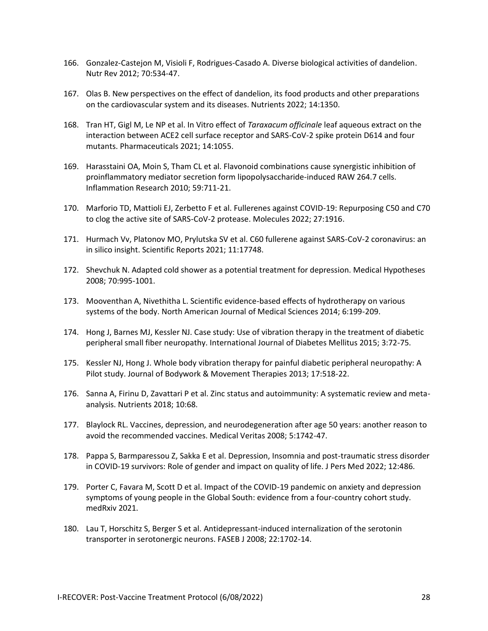- 166. Gonzalez-Castejon M, Visioli F, Rodrigues-Casado A. Diverse biological activities of dandelion. Nutr Rev 2012; 70:534-47.
- 167. Olas B. New perspectives on the effect of dandelion, its food products and other preparations on the cardiovascular system and its diseases. Nutrients 2022; 14:1350.
- 168. Tran HT, Gigl M, Le NP et al. In Vitro effect of *Taraxacum officinale* leaf aqueous extract on the interaction between ACE2 cell surface receptor and SARS-CoV-2 spike protein D614 and four mutants. Pharmaceuticals 2021; 14:1055.
- 169. Harasstaini OA, Moin S, Tham CL et al. Flavonoid combinations cause synergistic inhibition of proinflammatory mediator secretion form lipopolysaccharide-induced RAW 264.7 cells. Inflammation Research 2010; 59:711-21.
- 170. Marforio TD, Mattioli EJ, Zerbetto F et al. Fullerenes against COVID-19: Repurposing C50 and C70 to clog the active site of SARS-CoV-2 protease. Molecules 2022; 27:1916.
- 171. Hurmach Vv, Platonov MO, Prylutska SV et al. C60 fullerene against SARS-CoV-2 coronavirus: an in silico insight. Scientific Reports 2021; 11:17748.
- 172. Shevchuk N. Adapted cold shower as a potential treatment for depression. Medical Hypotheses 2008; 70:995-1001.
- 173. Mooventhan A, Nivethitha L. Scientific evidence-based effects of hydrotherapy on various systems of the body. North American Journal of Medical Sciences 2014; 6:199-209.
- 174. Hong J, Barnes MJ, Kessler NJ. Case study: Use of vibration therapy in the treatment of diabetic peripheral small fiber neuropathy. International Journal of Diabetes Mellitus 2015; 3:72-75.
- 175. Kessler NJ, Hong J. Whole body vibration therapy for painful diabetic peripheral neuropathy: A Pilot study. Journal of Bodywork & Movement Therapies 2013; 17:518-22.
- 176. Sanna A, Firinu D, Zavattari P et al. Zinc status and autoimmunity: A systematic review and metaanalysis. Nutrients 2018; 10:68.
- 177. Blaylock RL. Vaccines, depression, and neurodegeneration after age 50 years: another reason to avoid the recommended vaccines. Medical Veritas 2008; 5:1742-47.
- 178. Pappa S, Barmparessou Z, Sakka E et al. Depression, Insomnia and post-traumatic stress disorder in COVID-19 survivors: Role of gender and impact on quality of life. J Pers Med 2022; 12:486.
- 179. Porter C, Favara M, Scott D et al. Impact of the COVID-19 pandemic on anxiety and depression symptoms of young people in the Global South: evidence from a four-country cohort study. medRxiv 2021.
- 180. Lau T, Horschitz S, Berger S et al. Antidepressant-induced internalization of the serotonin transporter in serotonergic neurons. FASEB J 2008; 22:1702-14.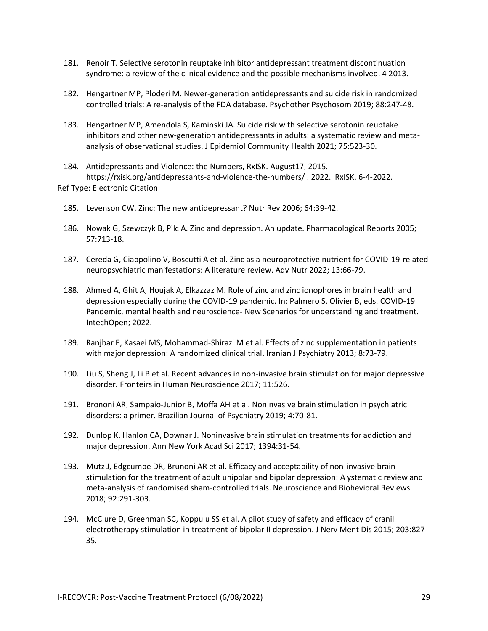- 181. Renoir T. Selective serotonin reuptake inhibitor antidepressant treatment discontinuation syndrome: a review of the clinical evidence and the possible mechanisms involved. 4 2013.
- 182. Hengartner MP, Ploderi M. Newer-generation antidepressants and suicide risk in randomized controlled trials: A re-analysis of the FDA database. Psychother Psychosom 2019; 88:247-48.
- 183. Hengartner MP, Amendola S, Kaminski JA. Suicide risk with selective serotonin reuptake inhibitors and other new-generation antidepressants in adults: a systematic review and metaanalysis of observational studies. J Epidemiol Community Health 2021; 75:523-30.

184. Antidepressants and Violence: the Numbers, RxISK. August17, 2015. https://rxisk.org/antidepressants-and-violence-the-numbers/ . 2022. RxISK. 6-4-2022. Ref Type: Electronic Citation

- 185. Levenson CW. Zinc: The new antidepressant? Nutr Rev 2006; 64:39-42.
- 186. Nowak G, Szewczyk B, Pilc A. Zinc and depression. An update. Pharmacological Reports 2005; 57:713-18.
- 187. Cereda G, Ciappolino V, Boscutti A et al. Zinc as a neuroprotective nutrient for COVID-19-related neuropsychiatric manifestations: A literature review. Adv Nutr 2022; 13:66-79.
- 188. Ahmed A, Ghit A, Houjak A, Elkazzaz M. Role of zinc and zinc ionophores in brain health and depression especially during the COVID-19 pandemic. In: Palmero S, Olivier B, eds. COVID-19 Pandemic, mental health and neuroscience- New Scenarios for understanding and treatment. IntechOpen; 2022.
- 189. Ranjbar E, Kasaei MS, Mohammad-Shirazi M et al. Effects of zinc supplementation in patients with major depression: A randomized clinical trial. Iranian J Psychiatry 2013; 8:73-79.
- 190. Liu S, Sheng J, Li B et al. Recent advances in non-invasive brain stimulation for major depressive disorder. Fronteirs in Human Neuroscience 2017; 11:526.
- 191. Brononi AR, Sampaio-Junior B, Moffa AH et al. Noninvasive brain stimulation in psychiatric disorders: a primer. Brazilian Journal of Psychiatry 2019; 4:70-81.
- 192. Dunlop K, Hanlon CA, Downar J. Noninvasive brain stimulation treatments for addiction and major depression. Ann New York Acad Sci 2017; 1394:31-54.
- 193. Mutz J, Edgcumbe DR, Brunoni AR et al. Efficacy and acceptability of non-invasive brain stimulation for the treatment of adult unipolar and bipolar depression: A ystematic review and meta-analysis of randomised sham-controlled trials. Neuroscience and Biohevioral Reviews 2018; 92:291-303.
- 194. McClure D, Greenman SC, Koppulu SS et al. A pilot study of safety and efficacy of cranil electrotherapy stimulation in treatment of bipolar II depression. J Nerv Ment Dis 2015; 203:827- 35.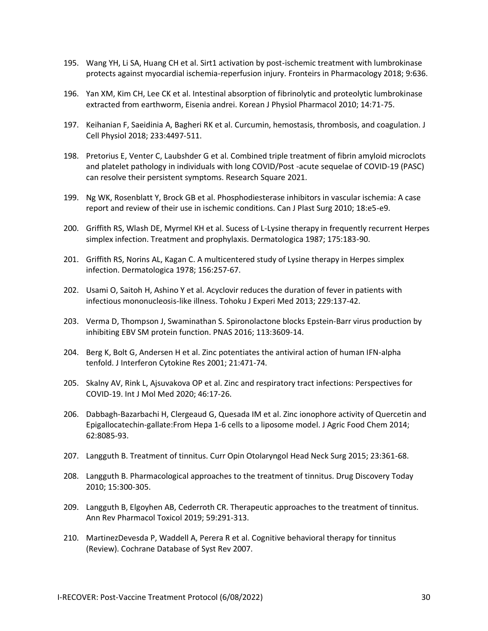- 195. Wang YH, Li SA, Huang CH et al. Sirt1 activation by post-ischemic treatment with lumbrokinase protects against myocardial ischemia-reperfusion injury. Fronteirs in Pharmacology 2018; 9:636.
- 196. Yan XM, Kim CH, Lee CK et al. Intestinal absorption of fibrinolytic and proteolytic lumbrokinase extracted from earthworm, Eisenia andrei. Korean J Physiol Pharmacol 2010; 14:71-75.
- 197. Keihanian F, Saeidinia A, Bagheri RK et al. Curcumin, hemostasis, thrombosis, and coagulation. J Cell Physiol 2018; 233:4497-511.
- 198. Pretorius E, Venter C, Laubshder G et al. Combined triple treatment of fibrin amyloid microclots and platelet pathology in individuals with long COVID/Post -acute sequelae of COVID-19 (PASC) can resolve their persistent symptoms. Research Square 2021.
- 199. Ng WK, Rosenblatt Y, Brock GB et al. Phosphodiesterase inhibitors in vascular ischemia: A case report and review of their use in ischemic conditions. Can J Plast Surg 2010; 18:e5-e9.
- 200. Griffith RS, Wlash DE, Myrmel KH et al. Sucess of L-Lysine therapy in frequently recurrent Herpes simplex infection. Treatment and prophylaxis. Dermatologica 1987; 175:183-90.
- 201. Griffith RS, Norins AL, Kagan C. A multicentered study of Lysine therapy in Herpes simplex infection. Dermatologica 1978; 156:257-67.
- 202. Usami O, Saitoh H, Ashino Y et al. Acyclovir reduces the duration of fever in patients with infectious mononucleosis-like illness. Tohoku J Experi Med 2013; 229:137-42.
- 203. Verma D, Thompson J, Swaminathan S. Spironolactone blocks Epstein-Barr virus production by inhibiting EBV SM protein function. PNAS 2016; 113:3609-14.
- 204. Berg K, Bolt G, Andersen H et al. Zinc potentiates the antiviral action of human IFN-alpha tenfold. J Interferon Cytokine Res 2001; 21:471-74.
- 205. Skalny AV, Rink L, Ajsuvakova OP et al. Zinc and respiratory tract infections: Perspectives for COVID-19. Int J Mol Med 2020; 46:17-26.
- 206. Dabbagh-Bazarbachi H, Clergeaud G, Quesada IM et al. Zinc ionophore activity of Quercetin and Epigallocatechin-gallate:From Hepa 1-6 cells to a liposome model. J Agric Food Chem 2014; 62:8085-93.
- 207. Langguth B. Treatment of tinnitus. Curr Opin Otolaryngol Head Neck Surg 2015; 23:361-68.
- 208. Langguth B. Pharmacological approaches to the treatment of tinnitus. Drug Discovery Today 2010; 15:300-305.
- 209. Langguth B, Elgoyhen AB, Cederroth CR. Therapeutic approaches to the treatment of tinnitus. Ann Rev Pharmacol Toxicol 2019; 59:291-313.
- 210. MartinezDevesda P, Waddell A, Perera R et al. Cognitive behavioral therapy for tinnitus (Review). Cochrane Database of Syst Rev 2007.